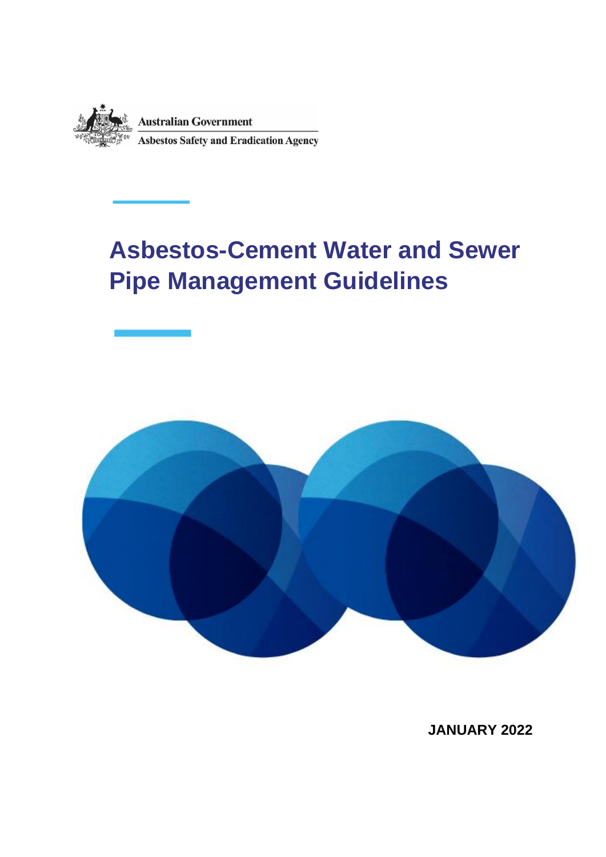

## **Asbestos-Cement Water and Sewer Pipe Management Guidelines**



**JANUARY 2022**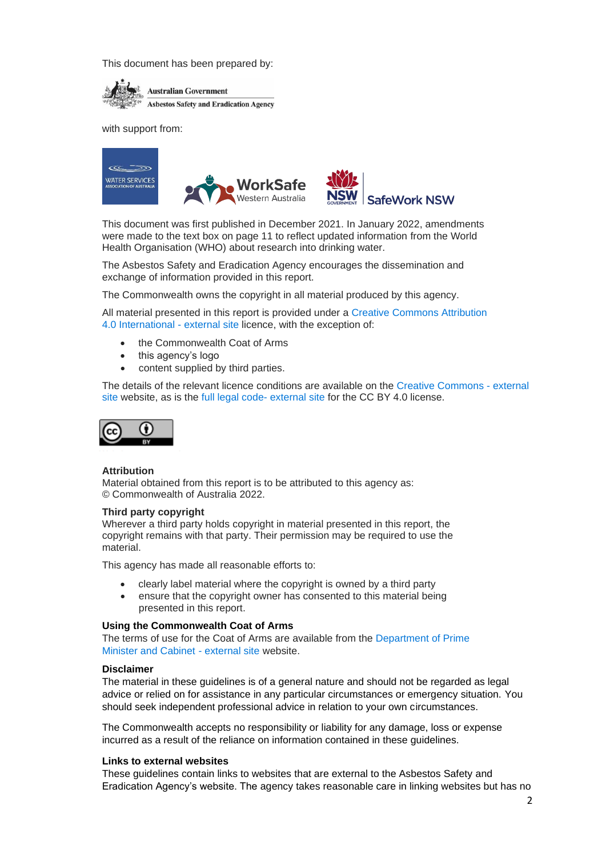This document has been prepared by:



with support from:



This document was first published in December 2021. In January 2022, amendments were made to the text box on page 11 to reflect updated information from the World Health Organisation (WHO) about research into drinking water.

The Asbestos Safety and Eradication Agency encourages the dissemination and exchange of information provided in this report.

The Commonwealth owns the copyright in all material produced by this agency.

All material presented in this report is provided under a [Creative Commons Attribution](https://creativecommons.org/licenses/by/4.0/)  [4.0 International](https://creativecommons.org/licenses/by/4.0/) - external site licence, with the exception of:

- the Commonwealth Coat of Arms
- this agency's logo
- content supplied by third parties.

The details of the relevant licence conditions are available on the [Creative Commons](http://creativecommons.org/) - external [site](http://creativecommons.org/) website, as is the full legal code- [external site](https://creativecommons.org/licenses/by/4.0/legalcode) for the CC BY 4.0 license.



#### **Attribution**

Material obtained from this report is to be attributed to this agency as: © Commonwealth of Australia 2022.

#### **Third party copyright**

Wherever a third party holds copyright in material presented in this report, the copyright remains with that party. Their permission may be required to use the material.

This agency has made all reasonable efforts to:

- clearly label material where the copyright is owned by a third party
- ensure that the copyright owner has consented to this material being presented in this report.

#### **Using the Commonwealth Coat of Arms**

The terms of use for the Coat of Arms are available from the [Department of Prime](https://www.pmc.gov.au/resource-centre/government/commonwealth-coat-arms-information-and-guidelines)  [Minister and Cabinet](https://www.pmc.gov.au/resource-centre/government/commonwealth-coat-arms-information-and-guidelines) - external site website.

#### **Disclaimer**

The material in these guidelines is of a general nature and should not be regarded as legal advice or relied on for assistance in any particular circumstances or emergency situation. You should seek independent professional advice in relation to your own circumstances.

The Commonwealth accepts no responsibility or liability for any damage, loss or expense incurred as a result of the reliance on information contained in these guidelines.

#### **Links to external websites**

These guidelines contain links to websites that are external to the Asbestos Safety and Eradication Agency's website. The agency takes reasonable care in linking websites but has no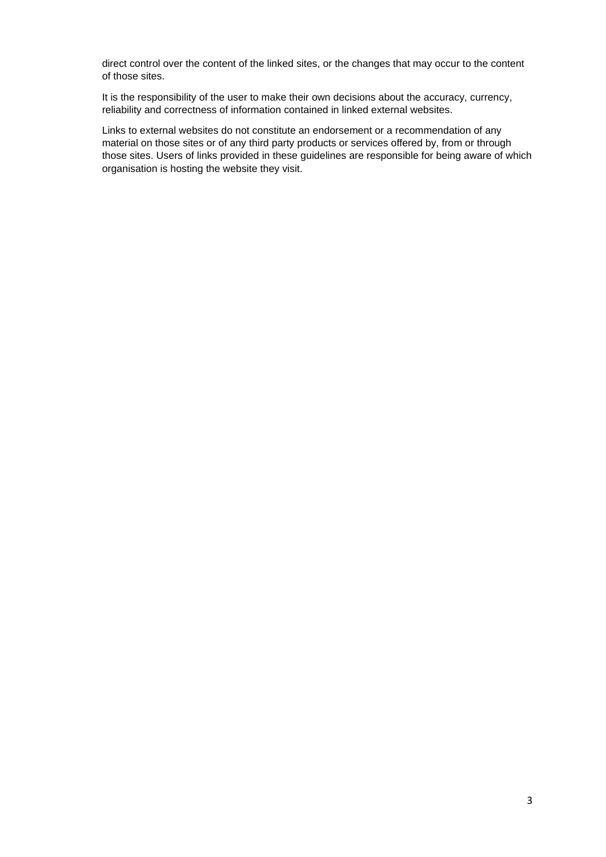direct control over the content of the linked sites, or the changes that may occur to the content of those sites.

It is the responsibility of the user to make their own decisions about the accuracy, currency, reliability and correctness of information contained in linked external websites.

Links to external websites do not constitute an endorsement or a recommendation of any material on those sites or of any third party products or services offered by, from or through those sites. Users of links provided in these guidelines are responsible for being aware of which organisation is hosting the website they visit.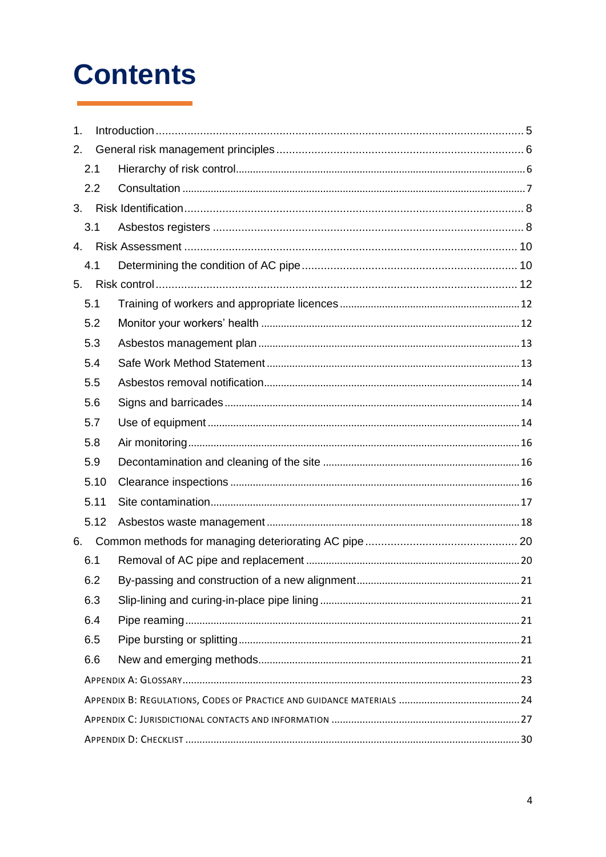# **Contents**

| 1.           |      |  |  |  |
|--------------|------|--|--|--|
| 2.           |      |  |  |  |
|              | 2.1  |  |  |  |
|              | 2.2  |  |  |  |
| 3.           |      |  |  |  |
|              | 3.1  |  |  |  |
| $\mathbf{4}$ |      |  |  |  |
|              | 4.1  |  |  |  |
| 5.           |      |  |  |  |
|              | 5.1  |  |  |  |
|              | 5.2  |  |  |  |
|              | 5.3  |  |  |  |
|              | 5.4  |  |  |  |
|              | 5.5  |  |  |  |
|              | 5.6  |  |  |  |
|              | 5.7  |  |  |  |
|              | 5.8  |  |  |  |
|              | 5.9  |  |  |  |
|              | 5.10 |  |  |  |
|              | 5.11 |  |  |  |
|              | 5.12 |  |  |  |
| 6.           |      |  |  |  |
|              | 6.1  |  |  |  |
|              | 6.2  |  |  |  |
|              | 6.3  |  |  |  |
|              | 6.4  |  |  |  |
|              | 6.5  |  |  |  |
|              | 6.6  |  |  |  |
|              |      |  |  |  |
|              |      |  |  |  |
|              |      |  |  |  |
|              |      |  |  |  |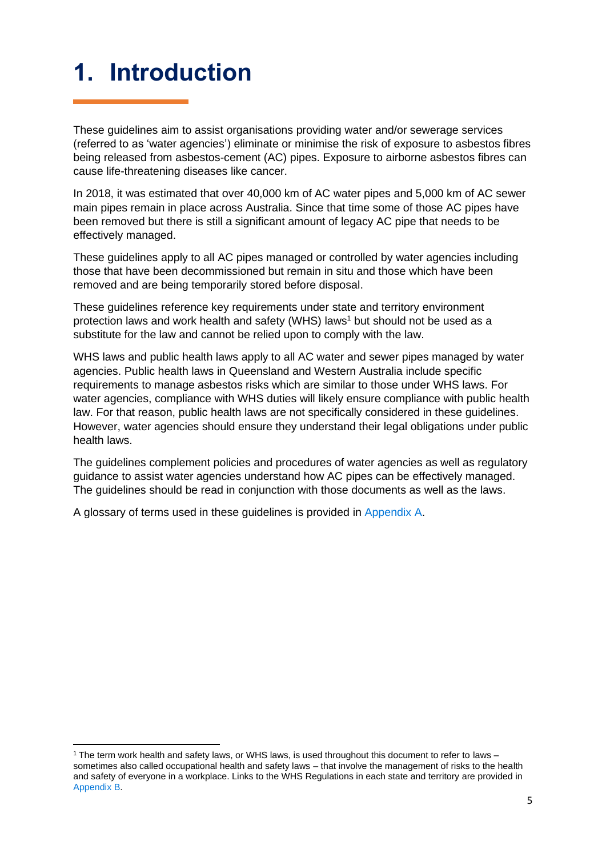## <span id="page-4-0"></span>**1. Introduction**

These guidelines aim to assist organisations providing water and/or sewerage services (referred to as 'water agencies') eliminate or minimise the risk of exposure to asbestos fibres being released from asbestos-cement (AC) pipes. Exposure to airborne asbestos fibres can cause life-threatening diseases like cancer.

In 2018, it was estimated that over 40,000 km of AC water pipes and 5,000 km of AC sewer main pipes remain in place across Australia. Since that time some of those AC pipes have been removed but there is still a significant amount of legacy AC pipe that needs to be effectively managed.

These guidelines apply to all AC pipes managed or controlled by water agencies including those that have been decommissioned but remain in situ and those which have been removed and are being temporarily stored before disposal.

These guidelines reference key requirements under state and territory environment protection laws and work health and safety (WHS) laws<sup>1</sup> but should not be used as a substitute for the law and cannot be relied upon to comply with the law.

WHS laws and public health laws apply to all AC water and sewer pipes managed by water agencies. Public health laws in Queensland and Western Australia include specific requirements to manage asbestos risks which are similar to those under WHS laws. For water agencies, compliance with WHS duties will likely ensure compliance with public health law. For that reason, public health laws are not specifically considered in these guidelines. However, water agencies should ensure they understand their legal obligations under public health laws.

The guidelines complement policies and procedures of water agencies as well as regulatory guidance to assist water agencies understand how AC pipes can be effectively managed. The guidelines should be read in conjunction with those documents as well as the laws.

A glossary of terms used in these guidelines is provided in [Appendix A.](#page-21-0)

<sup>1</sup> The term work health and safety laws, or WHS laws, is used throughout this document to refer to laws – sometimes also called occupational health and safety laws – that involve the management of risks to the health and safety of everyone in a workplace. Links to the WHS Regulations in each state and territory are provided in [Appendix B.](#page-23-0)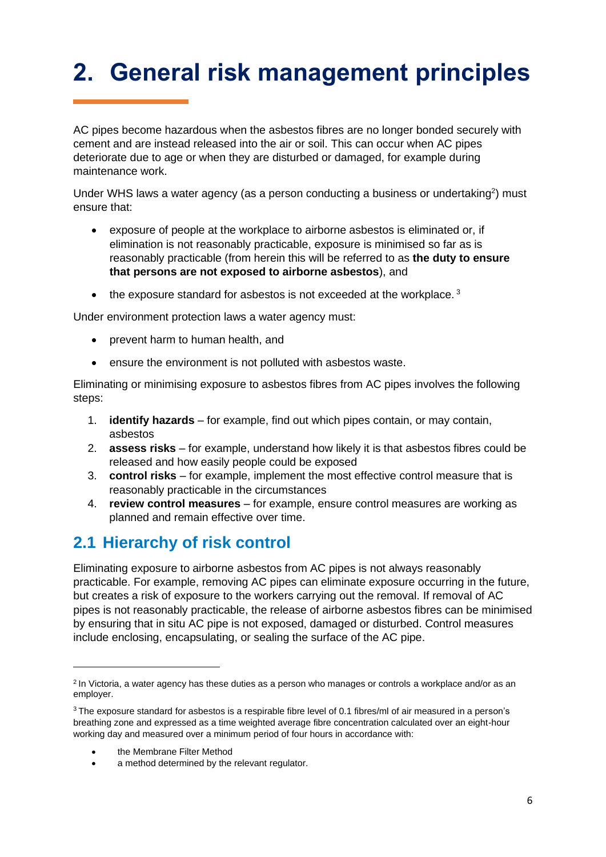## <span id="page-5-0"></span>**2. General risk management principles**

AC pipes become hazardous when the asbestos fibres are no longer bonded securely with cement and are instead released into the air or soil. This can occur when AC pipes deteriorate due to age or when they are disturbed or damaged, for example during maintenance work.

Under WHS laws a water agency (as a person conducting a business or undertaking<sup>2</sup>) must ensure that:

- exposure of people at the workplace to airborne asbestos is eliminated or, if elimination is not reasonably practicable, exposure is minimised so far as is reasonably practicable (from herein this will be referred to as **the duty to ensure that persons are not exposed to airborne asbestos**), and
- $\bullet$  the exposure standard for asbestos is not exceeded at the workplace.<sup>3</sup>

Under environment protection laws a water agency must:

- prevent harm to human health, and
- ensure the environment is not polluted with asbestos waste.

Eliminating or minimising exposure to asbestos fibres from AC pipes involves the following steps:

- 1. **identify hazards** for example, find out which pipes contain, or may contain, asbestos
- 2. **assess risks** for example, understand how likely it is that asbestos fibres could be released and how easily people could be exposed
- 3. **control risks** for example, implement the most effective control measure that is reasonably practicable in the circumstances
- 4. **review control measures** for example, ensure control measures are working as planned and remain effective over time.

### <span id="page-5-1"></span>**2.1 Hierarchy of risk control**

Eliminating exposure to airborne asbestos from AC pipes is not always reasonably practicable. For example, removing AC pipes can eliminate exposure occurring in the future, but creates a risk of exposure to the workers carrying out the removal. If removal of AC pipes is not reasonably practicable, the release of airborne asbestos fibres can be minimised by ensuring that in situ AC pipe is not exposed, damaged or disturbed. Control measures include enclosing, encapsulating, or sealing the surface of the AC pipe.

• the Membrane Filter Method

<sup>&</sup>lt;sup>2</sup> In Victoria, a water agency has these duties as a person who manages or controls a workplace and/or as an employer.

<sup>&</sup>lt;sup>3</sup> The exposure standard for asbestos is a respirable fibre level of 0.1 fibres/ml of air measured in a person's breathing zone and expressed as a time weighted average fibre concentration calculated over an eight-hour working day and measured over a minimum period of four hours in accordance with:

a method determined by the relevant regulator.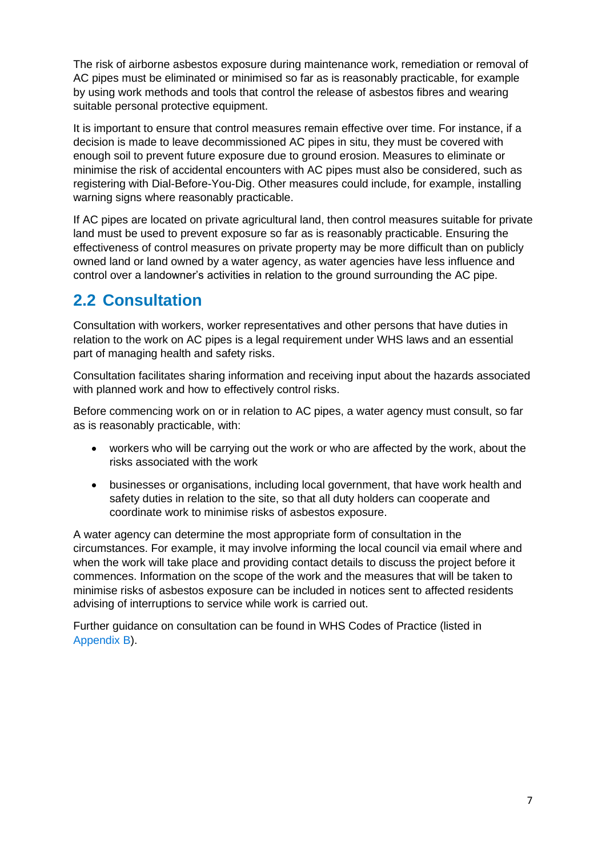The risk of airborne asbestos exposure during maintenance work, remediation or removal of AC pipes must be eliminated or minimised so far as is reasonably practicable, for example by using work methods and tools that control the release of asbestos fibres and wearing suitable personal protective equipment.

It is important to ensure that control measures remain effective over time. For instance, if a decision is made to leave decommissioned AC pipes in situ, they must be covered with enough soil to prevent future exposure due to ground erosion. Measures to eliminate or minimise the risk of accidental encounters with AC pipes must also be considered, such as registering with Dial-Before-You-Dig. Other measures could include, for example, installing warning signs where reasonably practicable.

If AC pipes are located on private agricultural land, then control measures suitable for private land must be used to prevent exposure so far as is reasonably practicable. Ensuring the effectiveness of control measures on private property may be more difficult than on publicly owned land or land owned by a water agency, as water agencies have less influence and control over a landowner's activities in relation to the ground surrounding the AC pipe.

### <span id="page-6-0"></span>**2.2 Consultation**

Consultation with workers, worker representatives and other persons that have duties in relation to the work on AC pipes is a legal requirement under WHS laws and an essential part of managing health and safety risks.

Consultation facilitates sharing information and receiving input about the hazards associated with planned work and how to effectively control risks.

Before commencing work on or in relation to AC pipes, a water agency must consult, so far as is reasonably practicable, with:

- workers who will be carrying out the work or who are affected by the work, about the risks associated with the work
- businesses or organisations, including local government, that have work health and safety duties in relation to the site, so that all duty holders can cooperate and coordinate work to minimise risks of asbestos exposure.

A water agency can determine the most appropriate form of consultation in the circumstances. For example, it may involve informing the local council via email where and when the work will take place and providing contact details to discuss the project before it commences. Information on the scope of the work and the measures that will be taken to minimise risks of asbestos exposure can be included in notices sent to affected residents advising of interruptions to service while work is carried out.

Further guidance on consultation can be found in WHS Codes of Practice (listed in [Appendix](#page-23-0) B).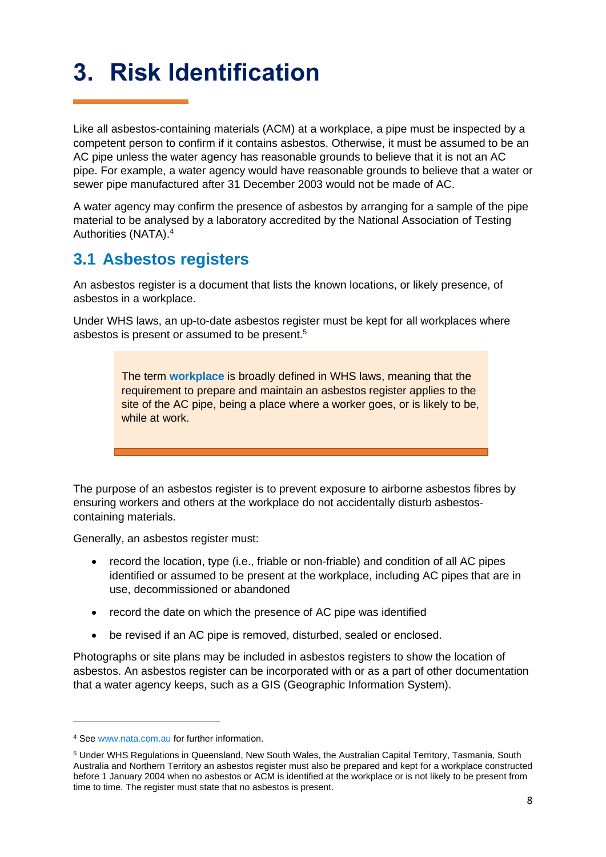## <span id="page-7-0"></span>**3. Risk Identification**

Like all asbestos-containing materials (ACM) at a workplace, a pipe must be inspected by a competent person to confirm if it contains asbestos. Otherwise, it must be assumed to be an AC pipe unless the water agency has reasonable grounds to believe that it is not an AC pipe. For example, a water agency would have reasonable grounds to believe that a water or sewer pipe manufactured after 31 December 2003 would not be made of AC.

A water agency may confirm the presence of asbestos by arranging for a sample of the pipe material to be analysed by a laboratory accredited by the National Association of Testing Authorities (NATA). 4

### <span id="page-7-1"></span>**3.1 Asbestos registers**

An asbestos register is a document that lists the known locations, or likely presence, of asbestos in a workplace.

Under WHS laws, an up-to-date asbestos register must be kept for all workplaces where asbestos is present or assumed to be present.<sup>5</sup>

> The term **workplace** is broadly defined in WHS laws, meaning that the requirement to prepare and maintain an asbestos register applies to the site of the AC pipe, being a place where a worker goes, or is likely to be, while at work.

The purpose of an asbestos register is to prevent exposure to airborne asbestos fibres by ensuring workers and others at the workplace do not accidentally disturb asbestoscontaining materials.

Generally, an asbestos register must:

- record the location, type (i.e., friable or non-friable) and condition of all AC pipes identified or assumed to be present at the workplace, including AC pipes that are in use, decommissioned or abandoned
- record the date on which the presence of AC pipe was identified
- be revised if an AC pipe is removed, disturbed, sealed or enclosed.

Photographs or site plans may be included in asbestos registers to show the location of asbestos. An asbestos register can be incorporated with or as a part of other documentation that a water agency keeps, such as a GIS (Geographic Information System).

<sup>4</sup> See [www.nata.com.au](http://www.nata.com.au/) for further information.

<sup>5</sup> Under WHS Regulations in Queensland, New South Wales, the Australian Capital Territory, Tasmania, South Australia and Northern Territory an asbestos register must also be prepared and kept for a workplace constructed before 1 January 2004 when no asbestos or ACM is identified at the workplace or is not likely to be present from time to time. The register must state that no asbestos is present.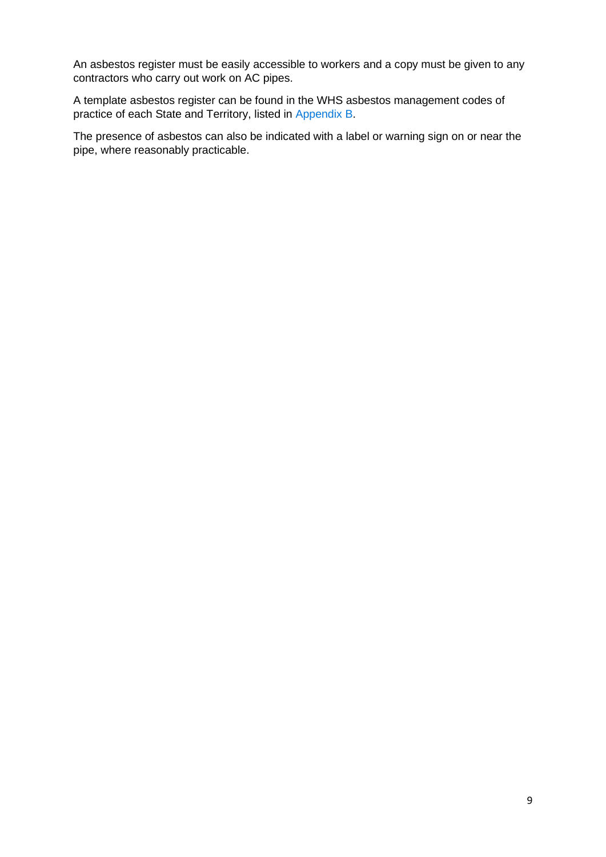An asbestos register must be easily accessible to workers and a copy must be given to any contractors who carry out work on AC pipes.

A template asbestos register can be found in the WHS asbestos management codes of practice of each State and Territory, listed in [Appendix B.](#page-23-0)

The presence of asbestos can also be indicated with a label or warning sign on or near the pipe, where reasonably practicable.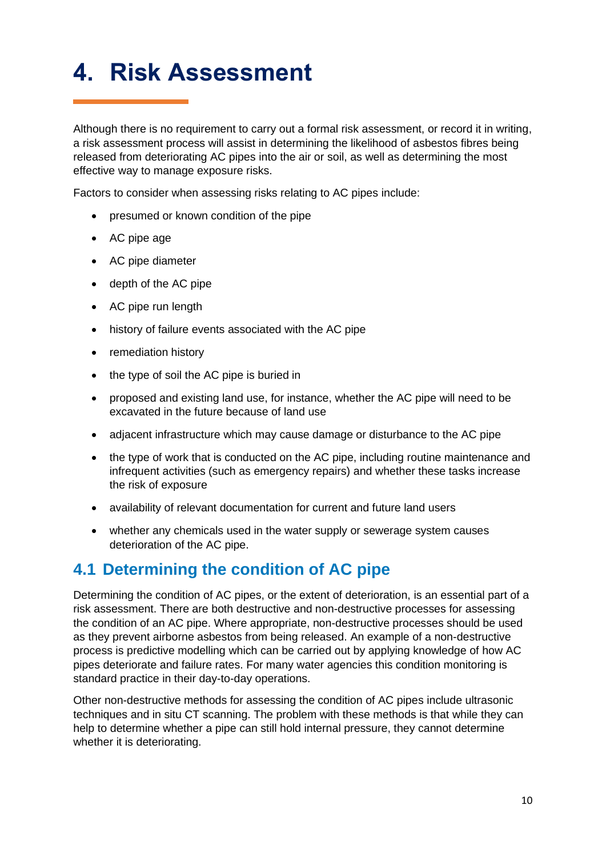## <span id="page-9-0"></span>**4. Risk Assessment**

Although there is no requirement to carry out a formal risk assessment, or record it in writing, a risk assessment process will assist in determining the likelihood of asbestos fibres being released from deteriorating AC pipes into the air or soil, as well as determining the most effective way to manage exposure risks.

Factors to consider when assessing risks relating to AC pipes include:

- presumed or known condition of the pipe
- AC pipe age
- AC pipe diameter
- depth of the AC pipe
- AC pipe run length
- history of failure events associated with the AC pipe
- remediation history
- the type of soil the AC pipe is buried in
- proposed and existing land use, for instance, whether the AC pipe will need to be excavated in the future because of land use
- adjacent infrastructure which may cause damage or disturbance to the AC pipe
- the type of work that is conducted on the AC pipe, including routine maintenance and infrequent activities (such as emergency repairs) and whether these tasks increase the risk of exposure
- availability of relevant documentation for current and future land users
- whether any chemicals used in the water supply or sewerage system causes deterioration of the AC pipe.

### <span id="page-9-1"></span>**4.1 Determining the condition of AC pipe**

Determining the condition of AC pipes, or the extent of deterioration, is an essential part of a risk assessment. There are both destructive and non-destructive processes for assessing the condition of an AC pipe. Where appropriate, non-destructive processes should be used as they prevent airborne asbestos from being released. An example of a non-destructive process is predictive modelling which can be carried out by applying knowledge of how AC pipes deteriorate and failure rates. For many water agencies this condition monitoring is standard practice in their day-to-day operations.

Other non-destructive methods for assessing the condition of AC pipes include ultrasonic techniques and in situ CT scanning. The problem with these methods is that while they can help to determine whether a pipe can still hold internal pressure, they cannot determine whether it is deteriorating.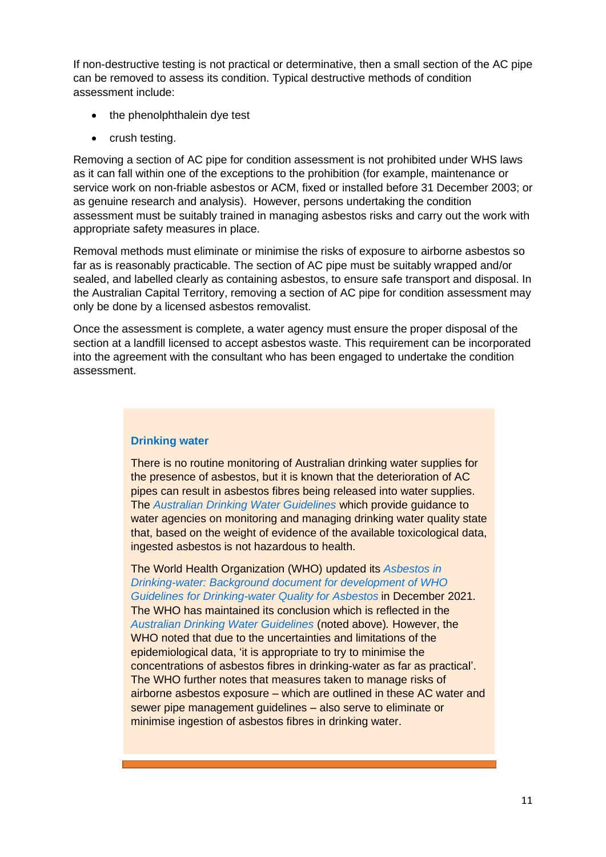If non-destructive testing is not practical or determinative, then a small section of the AC pipe can be removed to assess its condition. Typical destructive methods of condition assessment include:

- the phenolphthalein dye test
- crush testing.

Removing a section of AC pipe for condition assessment is not prohibited under WHS laws as it can fall within one of the exceptions to the prohibition (for example, maintenance or service work on non-friable asbestos or ACM, fixed or installed before 31 December 2003; or as genuine research and analysis). However, persons undertaking the condition assessment must be suitably trained in managing asbestos risks and carry out the work with appropriate safety measures in place.

Removal methods must eliminate or minimise the risks of exposure to airborne asbestos so far as is reasonably practicable. The section of AC pipe must be suitably wrapped and/or sealed, and labelled clearly as containing asbestos, to ensure safe transport and disposal. In the Australian Capital Territory, removing a section of AC pipe for condition assessment may only be done by a licensed asbestos removalist.

Once the assessment is complete, a water agency must ensure the proper disposal of the section at a landfill licensed to accept asbestos waste. This requirement can be incorporated into the agreement with the consultant who has been engaged to undertake the condition assessment.

#### **Drinking water**

There is no routine monitoring of Australian drinking water supplies for the presence of asbestos, but it is known that the deterioration of AC pipes can result in asbestos fibres being released into water supplies. The *[Australian Drinking Water Guidelines](https://www.nhmrc.gov.au/about-us/publications/australian-drinking-water-guidelines#block-views-block-file-attachments-content-block-1)* which provide guidance to water agencies on monitoring and managing drinking water quality state that, based on the weight of evidence of the available toxicological data, ingested asbestos is not hazardous to health.

The World Health Organization (WHO) updated its *[Asbestos in](https://apps.who.int/iris/handle/10665/350932)  [Drinking-water: Background document for development of WHO](https://apps.who.int/iris/handle/10665/350932)  [Guidelines for Drinking-water Quality for Asbestos](https://apps.who.int/iris/handle/10665/350932)* in December 2021. The WHO has maintained its conclusion which is reflected in the *[Australian Drinking Water Guidelines](https://www.nhmrc.gov.au/about-us/publications/australian-drinking-water-guidelines#block-views-block-file-attachments-content-block-1)* (noted above)*.* However, the WHO noted that due to the uncertainties and limitations of the epidemiological data, 'it is appropriate to try to minimise the concentrations of asbestos fibres in drinking-water as far as practical'. The WHO further notes that measures taken to manage risks of airborne asbestos exposure – which are outlined in these AC water and sewer pipe management guidelines – also serve to eliminate or minimise ingestion of asbestos fibres in drinking water.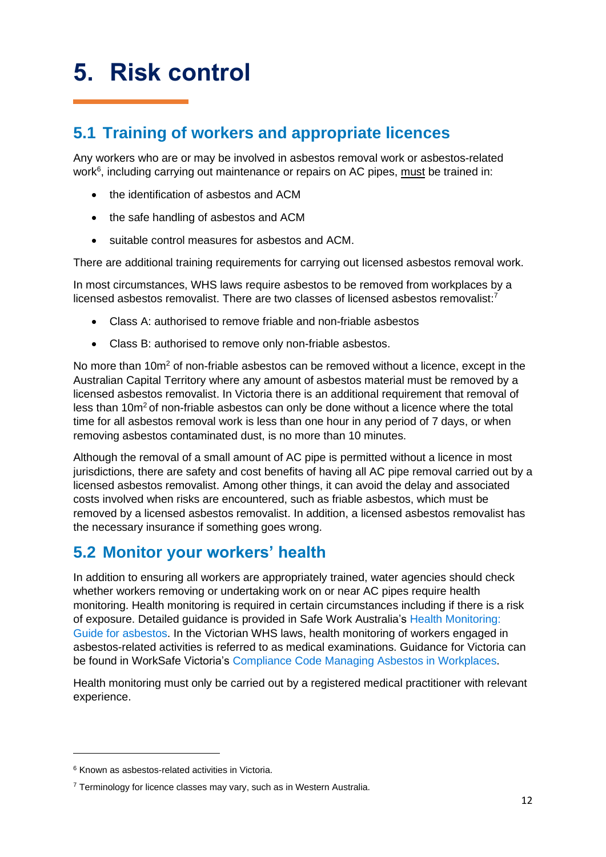## <span id="page-11-0"></span>**5. Risk control**

### <span id="page-11-1"></span>**5.1 Training of workers and appropriate licences**

Any workers who are or may be involved in asbestos removal work or asbestos-related work<sup>6</sup>, including carrying out maintenance or repairs on AC pipes, must be trained in:

- the identification of asbestos and ACM
- the safe handling of asbestos and ACM
- suitable control measures for asbestos and ACM.

There are additional training requirements for carrying out licensed asbestos removal work.

In most circumstances, WHS laws require asbestos to be removed from workplaces by a licensed asbestos removalist. There are two classes of licensed asbestos removalist:<sup>7</sup>

- Class A: authorised to remove friable and non-friable asbestos
- Class B: authorised to remove only non-friable asbestos.

No more than 10m<sup>2</sup> of non-friable asbestos can be removed without a licence, except in the Australian Capital Territory where any amount of asbestos material must be removed by a licensed asbestos removalist. In Victoria there is an additional requirement that removal of less than  $10<sub>m²</sub>$  of non-friable asbestos can only be done without a licence where the total time for all asbestos removal work is less than one hour in any period of 7 days, or when removing asbestos contaminated dust, is no more than 10 minutes.

Although the removal of a small amount of AC pipe is permitted without a licence in most jurisdictions, there are safety and cost benefits of having all AC pipe removal carried out by a licensed asbestos removalist. Among other things, it can avoid the delay and associated costs involved when risks are encountered, such as friable asbestos, which must be removed by a licensed asbestos removalist. In addition, a licensed asbestos removalist has the necessary insurance if something goes wrong.

### <span id="page-11-2"></span>**5.2 Monitor your workers' health**

In addition to ensuring all workers are appropriately trained, water agencies should check whether workers removing or undertaking work on or near AC pipes require health monitoring. Health monitoring is required in certain circumstances including if there is a risk of exposure. Detailed guidance is provided in Safe Work Australia's [Health Monitoring:](https://www.safeworkaustralia.gov.au/system/files/documents/2002/health_monitoring_guidance_-_asbestos.pdf)  [Guide for asbestos.](https://www.safeworkaustralia.gov.au/system/files/documents/2002/health_monitoring_guidance_-_asbestos.pdf) In the Victorian WHS laws, health monitoring of workers engaged in asbestos-related activities is referred to as medical examinations. Guidance for Victoria can be found in WorkSafe Victoria's [Compliance Code Managing Asbestos in Workplaces.](https://content.api.worksafe.vic.gov.au/sites/default/files/2020-02/ISBN-Compliance-code-managing-asbestos-workplaces-2019-12.pdf)

Health monitoring must only be carried out by a registered medical practitioner with relevant experience.

<sup>6</sup> Known as asbestos-related activities in Victoria.

 $7$  Terminology for licence classes may vary, such as in Western Australia.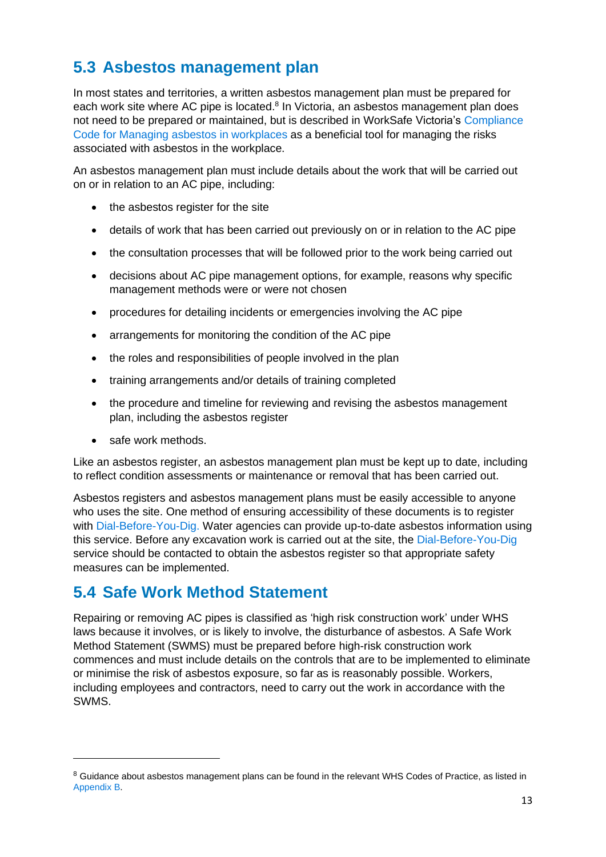### <span id="page-12-0"></span>**5.3 Asbestos management plan**

In most states and territories, a written asbestos management plan must be prepared for each work site where AC pipe is located.<sup>8</sup> In Victoria, an asbestos management plan does not need to be prepared or maintained, but is described in WorkSafe Victoria's [Compliance](https://content.api.worksafe.vic.gov.au/sites/default/files/2020-02/ISBN-Compliance-code-managing-asbestos-workplaces-2019-12.pdf)  [Code for Managing asbestos in workplaces a](https://content.api.worksafe.vic.gov.au/sites/default/files/2020-02/ISBN-Compliance-code-managing-asbestos-workplaces-2019-12.pdf)s a beneficial tool for managing the risks associated with asbestos in the workplace.

An asbestos management plan must include details about the work that will be carried out on or in relation to an AC pipe, including:

- the asbestos register for the site
- details of work that has been carried out previously on or in relation to the AC pipe
- the consultation processes that will be followed prior to the work being carried out
- decisions about AC pipe management options, for example, reasons why specific management methods were or were not chosen
- procedures for detailing incidents or emergencies involving the AC pipe
- arrangements for monitoring the condition of the AC pipe
- the roles and responsibilities of people involved in the plan
- training arrangements and/or details of training completed
- the procedure and timeline for reviewing and revising the asbestos management plan, including the asbestos register
- safe work methods.

Like an asbestos register, an asbestos management plan must be kept up to date, including to reflect condition assessments or maintenance or removal that has been carried out.

Asbestos registers and asbestos management plans must be easily accessible to anyone who uses the site. One method of ensuring accessibility of these documents is to register with [Dial-Before-You-Dig.](https://www.1100.com.au/) Water agencies can provide up-to-date asbestos information using this service. Before any excavation work is carried out at the site, the [Dial-Before-You-Dig](https://www.1100.com.au/) service should be contacted to obtain the asbestos register so that appropriate safety measures can be implemented.

### <span id="page-12-1"></span>**5.4 Safe Work Method Statement**

Repairing or removing AC pipes is classified as 'high risk construction work' under WHS laws because it involves, or is likely to involve, the disturbance of asbestos. A Safe Work Method Statement (SWMS) must be prepared before high-risk construction work commences and must include details on the controls that are to be implemented to eliminate or minimise the risk of asbestos exposure, so far as is reasonably possible. Workers, including employees and contractors, need to carry out the work in accordance with the SWMS.

<sup>&</sup>lt;sup>8</sup> Guidance about asbestos management plans can be found in the relevant WHS Codes of Practice, as listed in [Appendix B.](#page-23-0)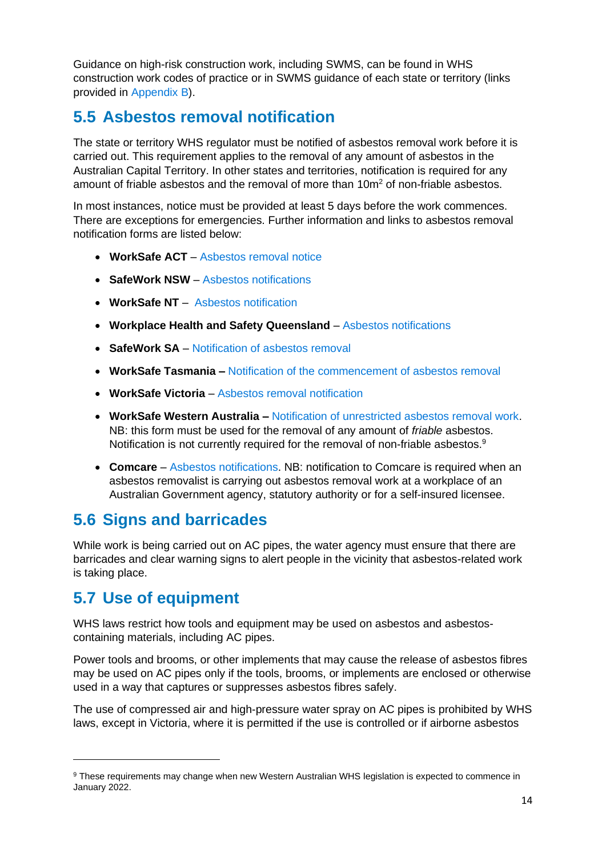Guidance on high-risk construction work, including SWMS, can be found in WHS construction work codes of practice or in SWMS guidance of each state or territory (links provided in [Appendix B\)](#page-23-0).

### <span id="page-13-0"></span>**5.5 Asbestos removal notification**

The state or territory WHS regulator must be notified of asbestos removal work before it is carried out. This requirement applies to the removal of any amount of asbestos in the Australian Capital Territory. In other states and territories, notification is required for any amount of friable asbestos and the removal of more than  $10m<sup>2</sup>$  of non-friable asbestos.

In most instances, notice must be provided at least 5 days before the work commences. There are exceptions for emergencies. Further information and links to asbestos removal notification forms are listed below:

- WorkSafe ACT [Asbestos removal notice](https://www.worksafe.act.gov.au/health-and-safety-portal/safety-topics/dangerous-goods-and-hazardous-substances/asbestos/asbestos-removal-notice)
- **SafeWork NSW** [Asbestos notifications](https://www.safework.nsw.gov.au/notify-safework/asbestos-notifications)
- **WorkSafe NT** [Asbestos notification](https://worksafe.nt.gov.au/notify-nt-worksafe/asbestos-notification)
- **Workplace Health and Safety Queensland** [Asbestos notifications](https://www.worksafe.qld.gov.au/safety-and-prevention/incidents-and-notifications/asbestos-notifications)
- **SafeWork SA** [Notification of asbestos removal](https://www.safework.sa.gov.au/notify/asbestos-removal)
- **WorkSafe Tasmania –** [Notification of the commencement of asbestos removal](https://worksafe.tas.gov.au/topics/licensing-permits-and-registration/asbestos-licensing/asbestos-removal-licensing)
- **WorkSafe Victoria** [Asbestos removal notification](https://www.worksafe.vic.gov.au/asbestos-removal-notification)
- **WorkSafe Western Australia –** [Notification of unrestricted asbestos removal work.](https://www.commerce.wa.gov.au/publications/notification-unrestricted-asbestos-removal-work) NB: this form must be used for the removal of any amount of *friable* asbestos. Notification is not currently required for the removal of non-friable asbestos.<sup>9</sup>
- **Comcare** [Asbestos notifications.](https://www.comcare.gov.au/safe-healthy-work/dust-conditions/asbestos-notifications) NB: notification to Comcare is required when an asbestos removalist is carrying out asbestos removal work at a workplace of an Australian Government agency, statutory authority or for a self-insured licensee.

### <span id="page-13-1"></span>**5.6 Signs and barricades**

While work is being carried out on AC pipes, the water agency must ensure that there are barricades and clear warning signs to alert people in the vicinity that asbestos-related work is taking place.

### <span id="page-13-2"></span>**5.7 Use of equipment**

WHS laws restrict how tools and equipment may be used on asbestos and asbestoscontaining materials, including AC pipes.

Power tools and brooms, or other implements that may cause the release of asbestos fibres may be used on AC pipes only if the tools, brooms, or implements are enclosed or otherwise used in a way that captures or suppresses asbestos fibres safely.

The use of compressed air and high-pressure water spray on AC pipes is prohibited by WHS laws, except in Victoria, where it is permitted if the use is controlled or if airborne asbestos

<sup>9</sup> These requirements may change when new Western Australian WHS legislation is expected to commence in January 2022.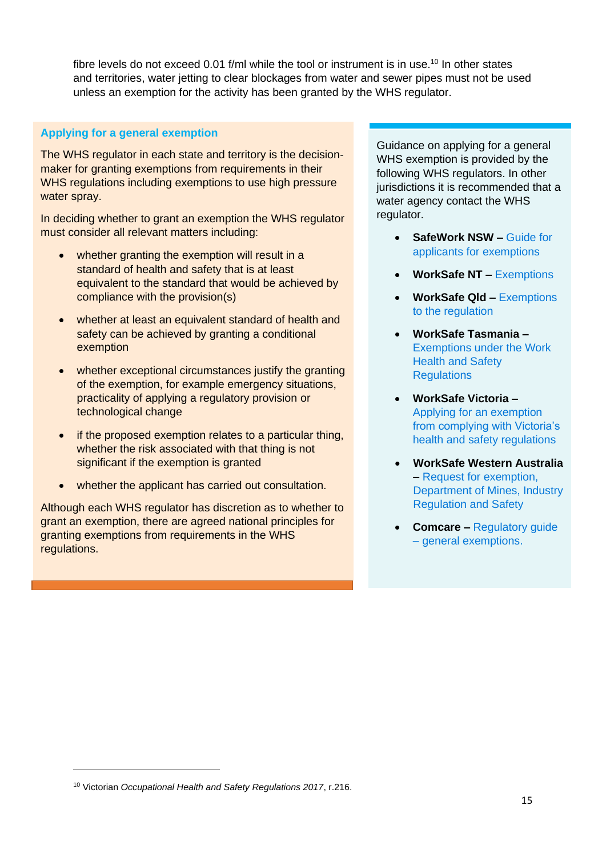fibre levels do not exceed 0.01 f/ml while the tool or instrument is in use.<sup>10</sup> In other states and territories, water jetting to clear blockages from water and sewer pipes must not be used unless an exemption for the activity has been granted by the WHS regulator.

#### **Applying for a general exemption**

The WHS regulator in each state and territory is the decisionmaker for granting exemptions from requirements in their WHS regulations including exemptions to use high pressure water spray.

In deciding whether to grant an exemption the WHS regulator must consider all relevant matters including:

- whether granting the exemption will result in a standard of health and safety that is at least equivalent to the standard that would be achieved by compliance with the provision(s)
- whether at least an equivalent standard of health and safety can be achieved by granting a conditional exemption
- whether exceptional circumstances justify the granting of the exemption, for example emergency situations, practicality of applying a regulatory provision or technological change
- if the proposed exemption relates to a particular thing, whether the risk associated with that thing is not significant if the exemption is granted
- whether the applicant has carried out consultation.

Although each WHS regulator has discretion as to whether to grant an exemption, there are agreed national principles for granting exemptions from requirements in the WHS regulations.

Guidance on applying for a general WHS exemption is provided by the following WHS regulators. In other jurisdictions it is recommended that a water agency contact the WHS regulator.

- **SafeWork NSW –** [Guide for](http://www.safework.nsw.gov.au/__data/assets/pdf_file/0008/50111/exemption-from-WHS-regulation-guide-8349.pdf)  applicants [for exemptions](http://www.safework.nsw.gov.au/__data/assets/pdf_file/0008/50111/exemption-from-WHS-regulation-guide-8349.pdf)
- **WorkSafe NT –** [Exemptions](https://worksafe.nt.gov.au/laws-and-compliance/workplace-safety-laws/exemptions)
- **WorkSafe Qld –** [Exemptions](https://www.worksafe.qld.gov.au/laws-and-compliance/work-health-and-safety-laws/exemptions-to-the-regulation)  [to the regulation](https://www.worksafe.qld.gov.au/laws-and-compliance/work-health-and-safety-laws/exemptions-to-the-regulation)
- **WorkSafe Tasmania –** [Exemptions under the Work](https://worksafe.tas.gov.au/topics/laws-and-compliance/acts-and-regulations/exemptions-under-the-work-health-and-safety-regulations)  [Health and Safety](https://worksafe.tas.gov.au/topics/laws-and-compliance/acts-and-regulations/exemptions-under-the-work-health-and-safety-regulations)  **Requlations**
- **WorkSafe Victoria –** [Applying for an exemption](https://www.worksafe.vic.gov.au/resources/applying-exemption-complying-victorias-health-and-safety-regulations)  [from complying with Victoria's](https://www.worksafe.vic.gov.au/resources/applying-exemption-complying-victorias-health-and-safety-regulations)  [health and safety regulations](https://www.worksafe.vic.gov.au/resources/applying-exemption-complying-victorias-health-and-safety-regulations)
- **WorkSafe Western Australia –** [Request for exemption,](https://www.commerce.wa.gov.au/publications/request-exemption)  [Department of Mines, Industry](https://www.commerce.wa.gov.au/publications/request-exemption)  [Regulation and Safety](https://www.commerce.wa.gov.au/publications/request-exemption)
- **Comcare –** [Regulatory guide](https://www.comcare.gov.au/scheme-legislation/whs-act/regulatory-guides/general-exemptions#fn1)  – [general exemptions.](https://www.comcare.gov.au/scheme-legislation/whs-act/regulatory-guides/general-exemptions#fn1)

<sup>10</sup> Victorian *Occupational Health and Safety Regulations 2017*, r.216.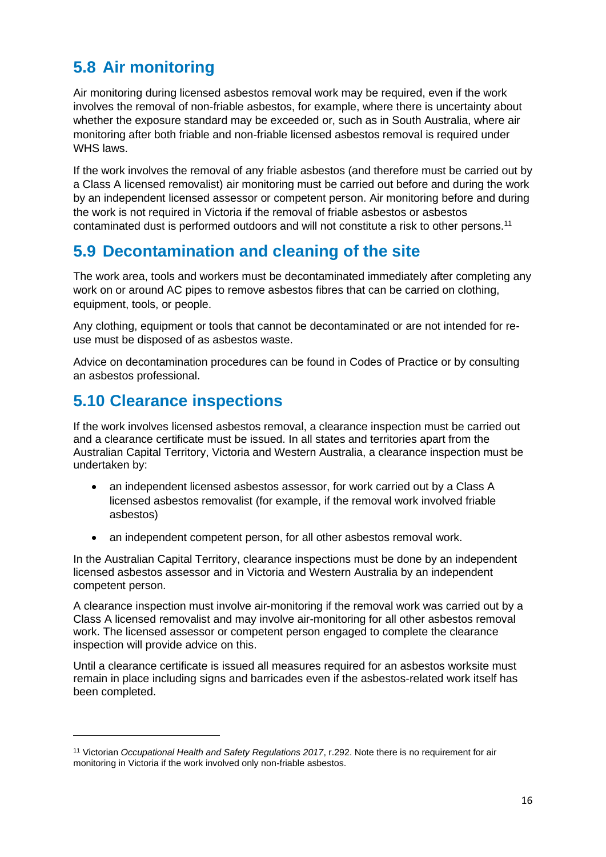## <span id="page-15-0"></span>**5.8 Air monitoring**

Air monitoring during licensed asbestos removal work may be required, even if the work involves the removal of non-friable asbestos, for example, where there is uncertainty about whether the exposure standard may be exceeded or, such as in South Australia, where air monitoring after both friable and non-friable licensed asbestos removal is required under WHS laws.

If the work involves the removal of any friable asbestos (and therefore must be carried out by a Class A licensed removalist) air monitoring must be carried out before and during the work by an independent licensed assessor or competent person. Air monitoring before and during the work is not required in Victoria if the removal of friable asbestos or asbestos contaminated dust is performed outdoors and will not constitute a risk to other persons.<sup>11</sup>

### <span id="page-15-1"></span>**5.9 Decontamination and cleaning of the site**

The work area, tools and workers must be decontaminated immediately after completing any work on or around AC pipes to remove asbestos fibres that can be carried on clothing, equipment, tools, or people.

Any clothing, equipment or tools that cannot be decontaminated or are not intended for reuse must be disposed of as asbestos waste.

Advice on decontamination procedures can be found in Codes of Practice or by consulting an asbestos professional.

### <span id="page-15-2"></span>**5.10 Clearance inspections**

If the work involves licensed asbestos removal, a clearance inspection must be carried out and a clearance certificate must be issued. In all states and territories apart from the Australian Capital Territory, Victoria and Western Australia, a clearance inspection must be undertaken by:

- an independent licensed asbestos assessor, for work carried out by a Class A licensed asbestos removalist (for example, if the removal work involved friable asbestos)
- an independent competent person, for all other asbestos removal work.

In the Australian Capital Territory, clearance inspections must be done by an independent licensed asbestos assessor and in Victoria and Western Australia by an independent competent person.

A clearance inspection must involve air-monitoring if the removal work was carried out by a Class A licensed removalist and may involve air-monitoring for all other asbestos removal work. The licensed assessor or competent person engaged to complete the clearance inspection will provide advice on this.

Until a clearance certificate is issued all measures required for an asbestos worksite must remain in place including signs and barricades even if the asbestos-related work itself has been completed.

<sup>11</sup> Victorian *Occupational Health and Safety Regulations 2017*, r.292. Note there is no requirement for air monitoring in Victoria if the work involved only non-friable asbestos.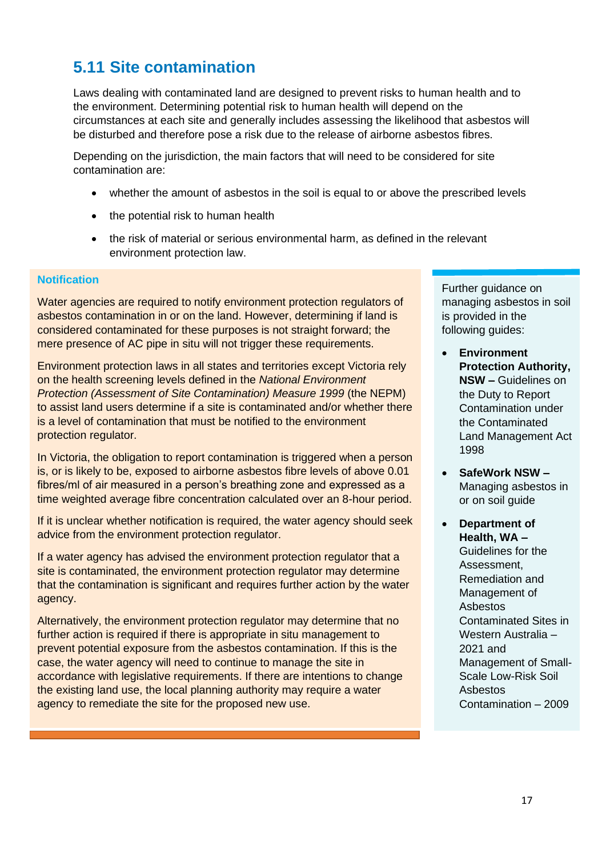### <span id="page-16-0"></span>**5.11 Site contamination**

Laws dealing with contaminated land are designed to prevent risks to human health and to the environment. Determining potential risk to human health will depend on the circumstances at each site and generally includes assessing the likelihood that asbestos will be disturbed and therefore pose a risk due to the release of airborne asbestos fibres.

Depending on the jurisdiction, the main factors that will need to be considered for site contamination are:

- whether the amount of asbestos in the soil is equal to or above the prescribed levels
- the potential risk to human health
- the risk of material or serious environmental harm, as defined in the relevant environment protection law.

#### **Notification**

Water agencies are required to notify environment protection regulators of asbestos contamination in or on the land. However, determining if land is considered contaminated for these purposes is not straight forward; the mere presence of AC pipe in situ will not trigger these requirements.

Environment protection laws in all states and territories except Victoria rely on the health screening levels defined in the *National Environment Protection (Assessment of Site Contamination) Measure 1999* (the NEPM) to assist land users determine if a site is contaminated and/or whether there is a level of contamination that must be notified to the environment protection regulator.

In Victoria, the obligation to report contamination is triggered when a person is, or is likely to be, exposed to airborne asbestos fibre levels of above 0.01 fibres/ml of air measured in a person's breathing zone and expressed as a time weighted average fibre concentration calculated over an 8-hour period.

If it is unclear whether notification is required, the water agency should seek advice from the environment protection regulator.

If a water agency has advised the environment protection regulator that a site is contaminated, the environment protection regulator may determine that the contamination is significant and requires further action by the water agency.

Alternatively, the environment protection regulator may determine that no further action is required if there is appropriate in situ management to prevent potential exposure from the asbestos contamination. If this is the case, the water agency will need to continue to manage the site in accordance with legislative requirements. If there are intentions to change the existing land use, the local planning authority may require a water agency to remediate the site for the proposed new use.

Further guidance on managing asbestos in soil is provided in the following guides:

- **Environment Protection Authority, NSW –** [Guidelines on](https://www.epa.nsw.gov.au/-/media/epa/corporate-site/resources/clm/150164-report-land-contamination-guidelines.pdf)  [the Duty to Report](https://www.epa.nsw.gov.au/-/media/epa/corporate-site/resources/clm/150164-report-land-contamination-guidelines.pdf)  [Contamination under](https://www.epa.nsw.gov.au/-/media/epa/corporate-site/resources/clm/150164-report-land-contamination-guidelines.pdf)  [the Contaminated](https://www.epa.nsw.gov.au/-/media/epa/corporate-site/resources/clm/150164-report-land-contamination-guidelines.pdf)  [Land Management Act](https://www.epa.nsw.gov.au/-/media/epa/corporate-site/resources/clm/150164-report-land-contamination-guidelines.pdf)  [1998](https://www.epa.nsw.gov.au/-/media/epa/corporate-site/resources/clm/150164-report-land-contamination-guidelines.pdf)
- **SafeWork NSW –** [Managing asbestos in](https://www.safework.nsw.gov.au/__data/assets/pdf_file/0005/329171/Managing-asbestos-in-soil-guide.pdf)  [or on soil guide](https://www.safework.nsw.gov.au/__data/assets/pdf_file/0005/329171/Managing-asbestos-in-soil-guide.pdf)
	- **Department of Health, WA –** [Guidelines for the](https://ww2.health.wa.gov.au/~/media/Files/Corporate/general%20documents/Asbestos/PDF/Guidelines-Asbestos-Contaminated%20Sites-May2009.pdf)  [Assessment,](https://ww2.health.wa.gov.au/~/media/Files/Corporate/general%20documents/Asbestos/PDF/Guidelines-Asbestos-Contaminated%20Sites-May2009.pdf)  [Remediation and](https://ww2.health.wa.gov.au/~/media/Files/Corporate/general%20documents/Asbestos/PDF/Guidelines-Asbestos-Contaminated%20Sites-May2009.pdf)  [Management of](https://ww2.health.wa.gov.au/~/media/Files/Corporate/general%20documents/Asbestos/PDF/Guidelines-Asbestos-Contaminated%20Sites-May2009.pdf)  [Asbestos](https://ww2.health.wa.gov.au/~/media/Files/Corporate/general%20documents/Asbestos/PDF/Guidelines-Asbestos-Contaminated%20Sites-May2009.pdf)  [Contaminated Sites in](https://ww2.health.wa.gov.au/~/media/Files/Corporate/general%20documents/Asbestos/PDF/Guidelines-Asbestos-Contaminated%20Sites-May2009.pdf)  [Western Australia –](https://ww2.health.wa.gov.au/~/media/Files/Corporate/general%20documents/Asbestos/PDF/Guidelines-Asbestos-Contaminated%20Sites-May2009.pdf) [2021](https://ww2.health.wa.gov.au/~/media/Files/Corporate/general%20documents/Asbestos/PDF/Guidelines-Asbestos-Contaminated%20Sites-May2009.pdf) and [Management of Small-](https://ww2.health.wa.gov.au/-/media/Files/Corporate/general-documents/Asbestos/PDF/Management-of-small-scale-asbestos-contamination.pdf)[Scale Low-Risk Soil](https://ww2.health.wa.gov.au/-/media/Files/Corporate/general-documents/Asbestos/PDF/Management-of-small-scale-asbestos-contamination.pdf)  [Asbestos](https://ww2.health.wa.gov.au/-/media/Files/Corporate/general-documents/Asbestos/PDF/Management-of-small-scale-asbestos-contamination.pdf)  [Contamination –](https://ww2.health.wa.gov.au/-/media/Files/Corporate/general-documents/Asbestos/PDF/Management-of-small-scale-asbestos-contamination.pdf) 2009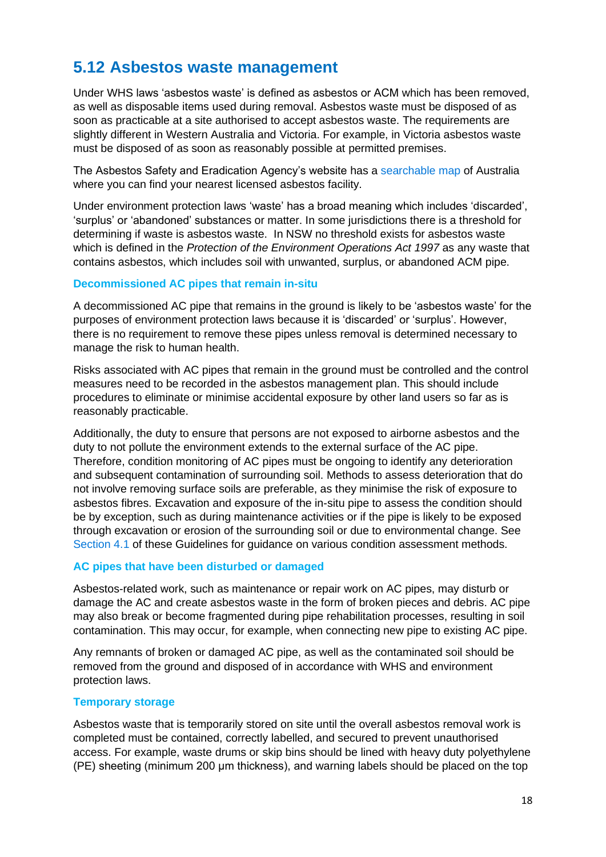### <span id="page-17-0"></span>**5.12 Asbestos waste management**

Under WHS laws 'asbestos waste' is defined as asbestos or ACM which has been removed, as well as disposable items used during removal. Asbestos waste must be disposed of as soon as practicable at a site authorised to accept asbestos waste. The requirements are slightly different in Western Australia and Victoria. For example, in Victoria asbestos waste must be disposed of as soon as reasonably possible at permitted premises.

The Asbestos Safety and Eradication Agency's website has a [searchable map](https://www.asbestossafety.gov.au/who-contact/search-disposal-facilities) of Australia where you can find your nearest licensed asbestos facility.

Under environment protection laws 'waste' has a broad meaning which includes 'discarded', 'surplus' or 'abandoned' substances or matter. In some jurisdictions there is a threshold for determining if waste is asbestos waste. In NSW no threshold exists for asbestos waste which is defined in the *Protection of the Environment Operations Act 1997* as any waste that contains asbestos, which includes soil with unwanted, surplus, or abandoned ACM pipe.

#### **Decommissioned AC pipes that remain in-situ**

A decommissioned AC pipe that remains in the ground is likely to be 'asbestos waste' for the purposes of environment protection laws because it is 'discarded' or 'surplus'. However, there is no requirement to remove these pipes unless removal is determined necessary to manage the risk to human health.

Risks associated with AC pipes that remain in the ground must be controlled and the control measures need to be recorded in the asbestos management plan. This should include procedures to eliminate or minimise accidental exposure by other land users so far as is reasonably practicable.

Additionally, the duty to ensure that persons are not exposed to airborne asbestos and the duty to not pollute the environment extends to the external surface of the AC pipe. Therefore, condition monitoring of AC pipes must be ongoing to identify any deterioration and subsequent contamination of surrounding soil. Methods to assess deterioration that do not involve removing surface soils are preferable, as they minimise the risk of exposure to asbestos fibres. Excavation and exposure of the in-situ pipe to assess the condition should be by exception, such as during maintenance activities or if the pipe is likely to be exposed through excavation or erosion of the surrounding soil or due to environmental change. See [Section 4.1](#page-9-1) of these Guidelines for guidance on various condition assessment methods.

#### **AC pipes that have been disturbed or damaged**

Asbestos-related work, such as maintenance or repair work on AC pipes, may disturb or damage the AC and create asbestos waste in the form of broken pieces and debris. AC pipe may also break or become fragmented during pipe rehabilitation processes, resulting in soil contamination. This may occur, for example, when connecting new pipe to existing AC pipe.

Any remnants of broken or damaged AC pipe, as well as the contaminated soil should be removed from the ground and disposed of in accordance with WHS and environment protection laws.

#### **Temporary storage**

Asbestos waste that is temporarily stored on site until the overall asbestos removal work is completed must be contained, correctly labelled, and secured to prevent unauthorised access. For example, waste drums or skip bins should be lined with heavy duty polyethylene (PE) sheeting (minimum 200 μm thickness), and warning labels should be placed on the top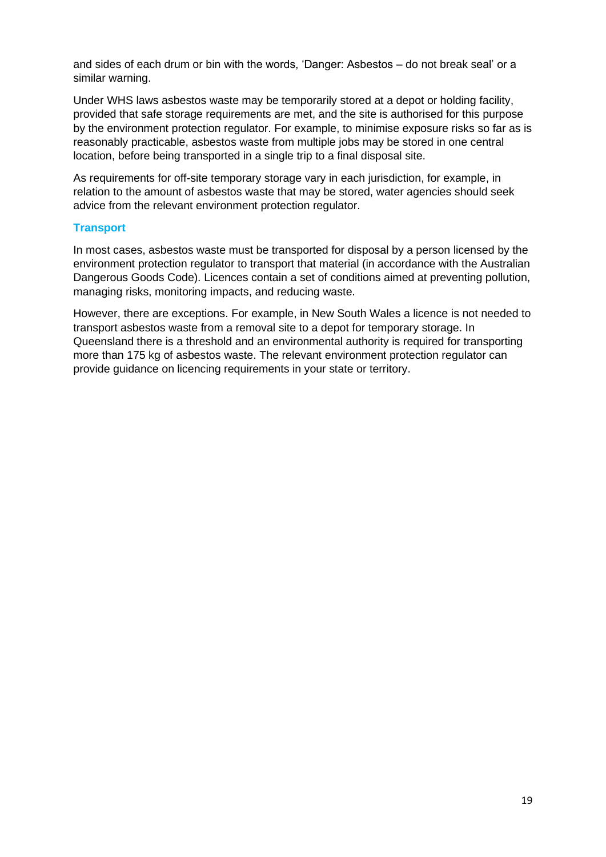and sides of each drum or bin with the words, 'Danger: Asbestos – do not break seal' or a similar warning.

Under WHS laws asbestos waste may be temporarily stored at a depot or holding facility, provided that safe storage requirements are met, and the site is authorised for this purpose by the environment protection regulator. For example, to minimise exposure risks so far as is reasonably practicable, asbestos waste from multiple jobs may be stored in one central location, before being transported in a single trip to a final disposal site.

As requirements for off-site temporary storage vary in each jurisdiction, for example, in relation to the amount of asbestos waste that may be stored, water agencies should seek advice from the relevant environment protection regulator.

#### **Transport**

In most cases, asbestos waste must be transported for disposal by a person licensed by the environment protection regulator to transport that material (in accordance with the Australian Dangerous Goods Code). Licences contain a set of conditions aimed at preventing pollution, managing risks, monitoring impacts, and reducing waste.

However, there are exceptions. For example, in New South Wales a licence is not needed to transport asbestos waste from a removal site to a depot for temporary storage. In Queensland there is a threshold and an environmental authority is required for transporting more than 175 kg of asbestos waste. The relevant environment protection regulator can provide guidance on licencing requirements in your state or territory.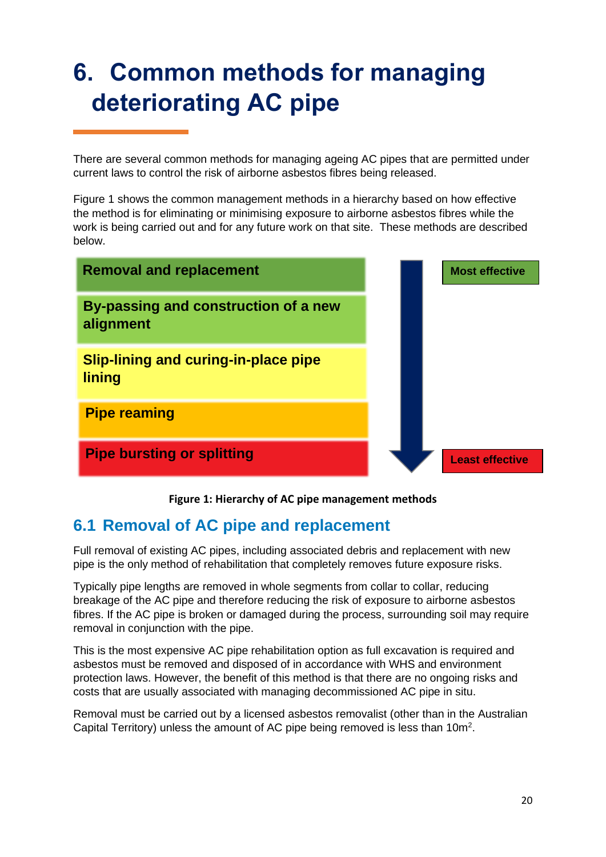## <span id="page-19-0"></span>**6. Common methods for managing deteriorating AC pipe**

There are several common methods for managing ageing AC pipes that are permitted under current laws to control the risk of airborne asbestos fibres being released.

Figure 1 shows the common management methods in a hierarchy based on how effective the method is for eliminating or minimising exposure to airborne asbestos fibres while the work is being carried out and for any future work on that site. These methods are described below.

| <b>Removal and replacement</b>                        | <b>Most effective</b>  |
|-------------------------------------------------------|------------------------|
| By-passing and construction of a new<br>alignment     |                        |
| <b>Slip-lining and curing-in-place pipe</b><br>lining |                        |
| <b>Pipe reaming</b>                                   |                        |
| <b>Pipe bursting or splitting</b>                     | <b>Least effective</b> |

**Figure 1: Hierarchy of AC pipe management methods**

### <span id="page-19-1"></span>**6.1 Removal of AC pipe and replacement**

Full removal of existing AC pipes, including associated debris and replacement with new pipe is the only method of rehabilitation that completely removes future exposure risks.

Typically pipe lengths are removed in whole segments from collar to collar, reducing breakage of the AC pipe and therefore reducing the risk of exposure to airborne asbestos fibres. If the AC pipe is broken or damaged during the process, surrounding soil may require removal in conjunction with the pipe.

This is the most expensive AC pipe rehabilitation option as full excavation is required and asbestos must be removed and disposed of in accordance with WHS and environment protection laws. However, the benefit of this method is that there are no ongoing risks and costs that are usually associated with managing decommissioned AC pipe in situ.

Removal must be carried out by a licensed asbestos removalist (other than in the Australian Capital Territory) unless the amount of AC pipe being removed is less than 10m<sup>2</sup>.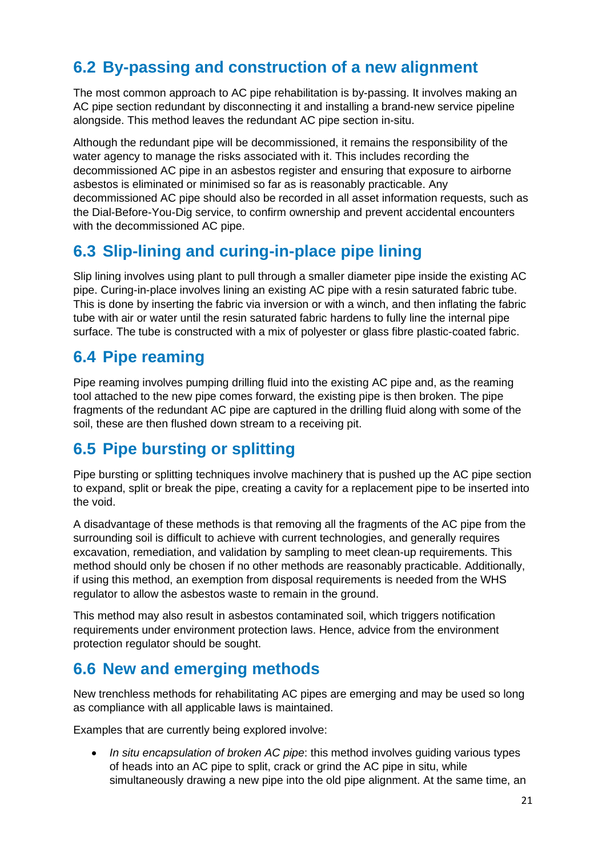### <span id="page-20-0"></span>**6.2 By-passing and construction of a new alignment**

The most common approach to AC pipe rehabilitation is by-passing. It involves making an AC pipe section redundant by disconnecting it and installing a brand-new service pipeline alongside. This method leaves the redundant AC pipe section in-situ.

Although the redundant pipe will be decommissioned, it remains the responsibility of the water agency to manage the risks associated with it. This includes recording the decommissioned AC pipe in an asbestos register and ensuring that exposure to airborne asbestos is eliminated or minimised so far as is reasonably practicable. Any decommissioned AC pipe should also be recorded in all asset information requests, such as the Dial-Before-You-Dig service, to confirm ownership and prevent accidental encounters with the decommissioned AC pipe.

### <span id="page-20-1"></span>**6.3 Slip-lining and curing-in-place pipe lining**

Slip lining involves using plant to pull through a smaller diameter pipe inside the existing AC pipe. Curing-in-place involves lining an existing AC pipe with a resin saturated fabric tube. This is done by inserting the fabric via inversion or with a winch, and then inflating the fabric tube with air or water until the resin saturated fabric hardens to fully line the internal pipe surface. The tube is constructed with a mix of polyester or glass fibre plastic-coated fabric.

### <span id="page-20-2"></span>**6.4 Pipe reaming**

Pipe reaming involves pumping drilling fluid into the existing AC pipe and, as the reaming tool attached to the new pipe comes forward, the existing pipe is then broken. The pipe fragments of the redundant AC pipe are captured in the drilling fluid along with some of the soil, these are then flushed down stream to a receiving pit.

### <span id="page-20-3"></span>**6.5 Pipe bursting or splitting**

Pipe bursting or splitting techniques involve machinery that is pushed up the AC pipe section to expand, split or break the pipe, creating a cavity for a replacement pipe to be inserted into the void.

A disadvantage of these methods is that removing all the fragments of the AC pipe from the surrounding soil is difficult to achieve with current technologies, and generally requires excavation, remediation, and validation by sampling to meet clean-up requirements. This method should only be chosen if no other methods are reasonably practicable. Additionally, if using this method, an exemption from disposal requirements is needed from the WHS regulator to allow the asbestos waste to remain in the ground.

This method may also result in asbestos contaminated soil, which triggers notification requirements under environment protection laws. Hence, advice from the environment protection regulator should be sought.

### <span id="page-20-4"></span>**6.6 New and emerging methods**

New trenchless methods for rehabilitating AC pipes are emerging and may be used so long as compliance with all applicable laws is maintained.

Examples that are currently being explored involve:

• *In situ encapsulation of broken AC pipe*: this method involves guiding various types of heads into an AC pipe to split, crack or grind the AC pipe in situ, while simultaneously drawing a new pipe into the old pipe alignment. At the same time, an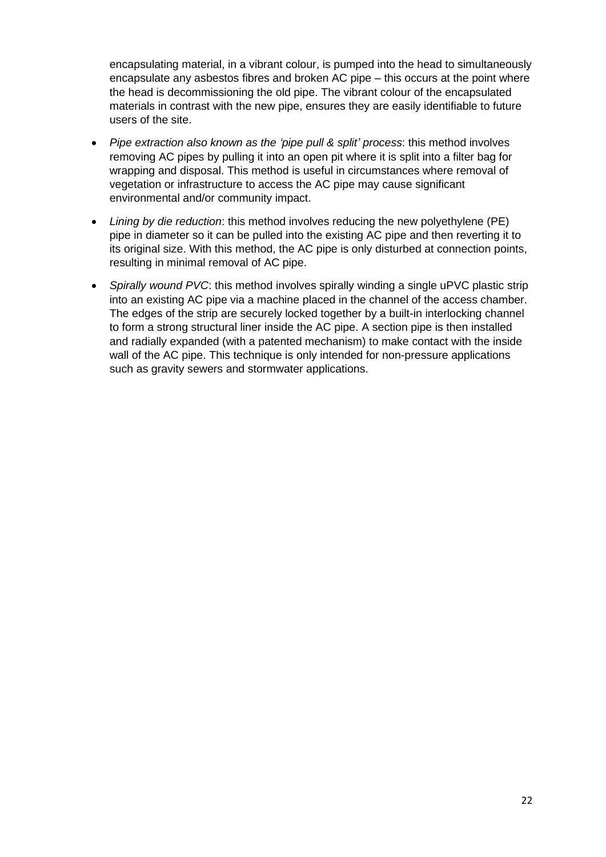encapsulating material, in a vibrant colour, is pumped into the head to simultaneously encapsulate any asbestos fibres and broken AC pipe – this occurs at the point where the head is decommissioning the old pipe. The vibrant colour of the encapsulated materials in contrast with the new pipe, ensures they are easily identifiable to future users of the site.

- *Pipe extraction also known as the 'pipe pull & split' process*: this method involves removing AC pipes by pulling it into an open pit where it is split into a filter bag for wrapping and disposal. This method is useful in circumstances where removal of vegetation or infrastructure to access the AC pipe may cause significant environmental and/or community impact.
- *Lining by die reduction*: this method involves reducing the new polyethylene (PE) pipe in diameter so it can be pulled into the existing AC pipe and then reverting it to its original size. With this method, the AC pipe is only disturbed at connection points, resulting in minimal removal of AC pipe.
- <span id="page-21-0"></span>• *Spirally wound PVC*: this method involves spirally winding a single uPVC plastic strip into an existing AC pipe via a machine placed in the channel of the access chamber. The edges of the strip are securely locked together by a built-in interlocking channel to form a strong structural liner inside the AC pipe. A section pipe is then installed and radially expanded (with a patented mechanism) to make contact with the inside wall of the AC pipe. This technique is only intended for non-pressure applications such as gravity sewers and stormwater applications.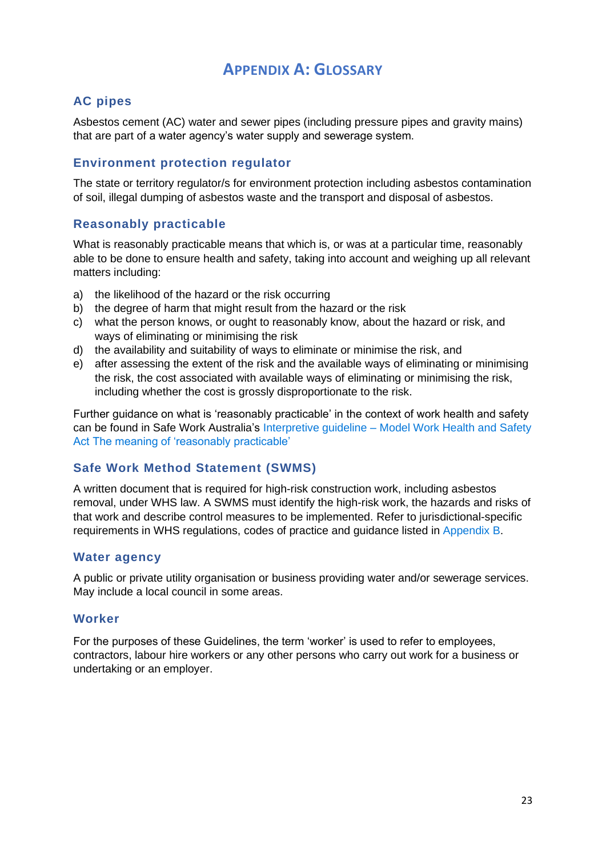#### **APPENDIX A: GLOSSARY**

#### <span id="page-22-0"></span>**AC pipes**

Asbestos cement (AC) water and sewer pipes (including pressure pipes and gravity mains) that are part of a water agency's water supply and sewerage system.

#### **Environment protection regulator**

The state or territory regulator/s for environment protection including asbestos contamination of soil, illegal dumping of asbestos waste and the transport and disposal of asbestos.

#### **Reasonably practicable**

What is reasonably practicable means that which is, or was at a particular time, reasonably able to be done to ensure health and safety, taking into account and weighing up all relevant matters including:

- a) the likelihood of the hazard or the risk occurring
- b) the degree of harm that might result from the hazard or the risk
- c) what the person knows, or ought to reasonably know, about the hazard or risk, and ways of eliminating or minimising the risk
- d) the availability and suitability of ways to eliminate or minimise the risk, and
- e) after assessing the extent of the risk and the available ways of eliminating or minimising the risk, the cost associated with available ways of eliminating or minimising the risk, including whether the cost is grossly disproportionate to the risk.

Further guidance on what is 'reasonably practicable' in the context of work health and safety can be found in Safe Work Australia's Interpretive guideline – [Model Work Health and Safety](https://www.safeworkaustralia.gov.au/system/files/documents/1702/interpretive_guideline_-_reasonably_practicable.pdf)  [Act The meaning of 'reasonably practicable'](https://www.safeworkaustralia.gov.au/system/files/documents/1702/interpretive_guideline_-_reasonably_practicable.pdf)

#### **Safe Work Method Statement (SWMS)**

A written document that is required for high-risk construction work, including asbestos removal, under WHS law. A SWMS must identify the high-risk work, the hazards and risks of that work and describe control measures to be implemented. Refer to jurisdictional-specific requirements in WHS regulations, codes of practice and guidance listed in [Appendix B.](#page-23-0)

#### **Water agency**

A public or private utility organisation or business providing water and/or sewerage services. May include a local council in some areas.

#### **Worker**

For the purposes of these Guidelines, the term 'worker' is used to refer to employees, contractors, labour hire workers or any other persons who carry out work for a business or undertaking or an employer.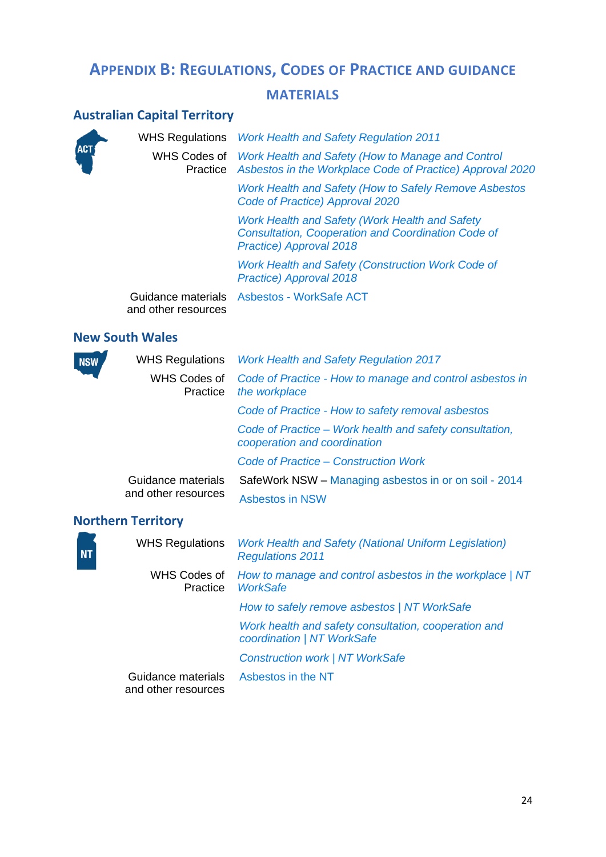### <span id="page-23-0"></span>**APPENDIX B: REGULATIONS, CODES OF PRACTICE AND GUIDANCE**

#### **MATERIALS**

### **Australian Capital Territory**

|            | <b>WHS Regulations</b>   | <b>Work Health and Safety Regulation 2011</b>                                                                                                 |
|------------|--------------------------|-----------------------------------------------------------------------------------------------------------------------------------------------|
| <b>ACT</b> | WHS Codes of<br>Practice | Work Health and Safety (How to Manage and Control<br>Asbestos in the Workplace Code of Practice) Approval 2020                                |
|            |                          | Work Health and Safety (How to Safely Remove Asbestos<br>Code of Practice) Approval 2020                                                      |
|            |                          | <b>Work Health and Safety (Work Health and Safety</b><br><b>Consultation, Cooperation and Coordination Code of</b><br>Practice) Approval 2018 |
|            |                          | Work Health and Safety (Construction Work Code of<br><b>Practice) Approval 2018</b>                                                           |
|            | and other resources      | Guidance materials Asbestos - WorkSafe ACT                                                                                                    |

#### **New South Wales**

| <b>NSW</b> | <b>WHS Regulations</b>                    | <b>Work Health and Safety Regulation 2017</b>                                           |
|------------|-------------------------------------------|-----------------------------------------------------------------------------------------|
|            | WHS Codes of<br>Practice<br>the workplace | Code of Practice - How to manage and control asbestos in                                |
|            |                                           | Code of Practice - How to safety removal asbestos                                       |
|            |                                           | Code of Practice – Work health and safety consultation,<br>cooperation and coordination |
|            |                                           | Code of Practice – Construction Work                                                    |
|            | Guidance materials<br>and other resources | SafeWork NSW - Managing asbestos in or on soil - 2014                                   |
|            |                                           | <b>Asbestos in NSW</b>                                                                  |
|            |                                           |                                                                                         |

### **Northern Territory**

**NT** 

| <b>WHS Regulations</b>                    | <b>Work Health and Safety (National Uniform Legislation)</b><br><b>Regulations 2011</b> |
|-------------------------------------------|-----------------------------------------------------------------------------------------|
| WHS Codes of<br>Practice                  | How to manage and control asbestos in the workplace   NT<br><b>WorkSafe</b>             |
|                                           | How to safely remove asbestos   NT WorkSafe                                             |
|                                           | Work health and safety consultation, cooperation and<br>coordination   NT WorkSafe      |
|                                           | <b>Construction work   NT WorkSafe</b>                                                  |
| Guidance materials<br>and other resources | Asbestos in the NT                                                                      |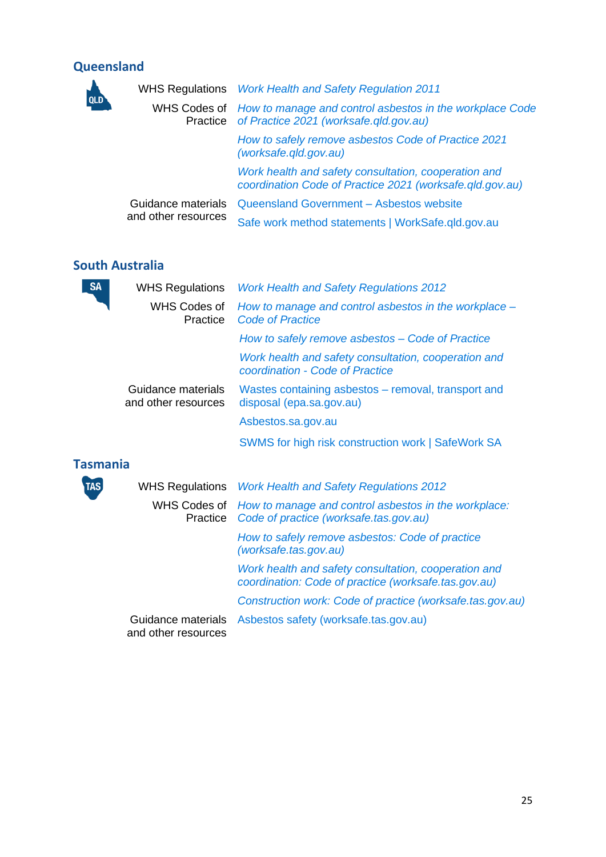### **Queensland**

**QLD** 

|                     | WHS Regulations Work Health and Safety Regulation 2011                                                                   |  |
|---------------------|--------------------------------------------------------------------------------------------------------------------------|--|
|                     | WHS Codes of How to manage and control asbestos in the workplace Code<br>Practice of Practice 2021 (worksafe.gld.gov.au) |  |
|                     | How to safely remove asbestos Code of Practice 2021<br>(worksafe.gld.gov.au)                                             |  |
|                     | Work health and safety consultation, cooperation and<br>coordination Code of Practice 2021 (worksafe.gld.gov.au)         |  |
| Guidance materials  | Queensland Government - Asbestos website                                                                                 |  |
| and other resources | Safe work method statements   WorkSafe.qld.gov.au                                                                        |  |

#### **South Australia**

| <b>SA</b>       | <b>WHS Regulations</b>                    | <b>Work Health and Safety Regulations 2012</b>                                                 |
|-----------------|-------------------------------------------|------------------------------------------------------------------------------------------------|
|                 | WHS Codes of<br>Practice                  | How to manage and control asbestos in the workplace –<br><b>Code of Practice</b>               |
|                 |                                           | How to safely remove asbestos – Code of Practice                                               |
|                 |                                           | Work health and safety consultation, cooperation and<br>coordination - Code of Practice        |
|                 | Guidance materials<br>and other resources | Wastes containing asbestos – removal, transport and<br>disposal (epa.sa.gov.au)                |
|                 |                                           | Asbestos.sa.gov.au                                                                             |
|                 |                                           | SWMS for high risk construction work   SafeWork SA                                             |
| <b>Tasmania</b> |                                           |                                                                                                |
| TAS             | <b>WHS Regulations</b>                    | <b>Work Health and Safety Regulations 2012</b>                                                 |
|                 | WHS Codes of<br>Practice                  | How to manage and control asbestos in the workplace:<br>Code of practice (worksafe.tas.gov.au) |
|                 |                                           | How to safely remove asbestos: Code of practice<br>(worksafe.tas.gov.au)                       |
|                 |                                           | <i>Mark boalth and safety consultation, cooperation and</i>                                    |

*[Work health and safety consultation, cooperation and](https://worksafe.tas.gov.au/topics/laws-and-compliance/codes-of-practice/cop-folder/work-health-and-safety-consultation,-cooperation-and-coordination)  [coordination: Code of practice \(worksafe.tas.gov.au\)](https://worksafe.tas.gov.au/topics/laws-and-compliance/codes-of-practice/cop-folder/work-health-and-safety-consultation,-cooperation-and-coordination)*

*[Construction work: Code of practice \(worksafe.tas.gov.au\)](https://www.worksafe.tas.gov.au/__data/assets/pdf_file/0006/537072/Construction-Work-COP.pdf)*

and other resources

Guidance materials [Asbestos safety \(worksafe.tas.gov.au\)](https://worksafe.tas.gov.au/asbestos)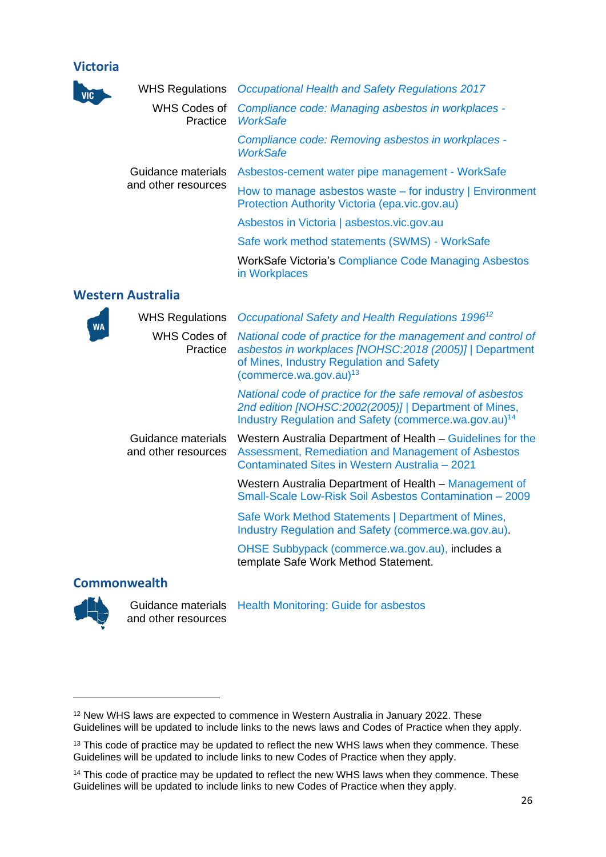#### **Victoria**

| <b>VIC</b> | <b>WHS Regulations</b>                    | <b>Occupational Health and Safety Regulations 2017</b>                                                                                                                                                   |
|------------|-------------------------------------------|----------------------------------------------------------------------------------------------------------------------------------------------------------------------------------------------------------|
|            | WHS Codes of<br>Practice                  | Compliance code: Managing asbestos in workplaces -<br><b>WorkSafe</b>                                                                                                                                    |
|            |                                           | Compliance code: Removing asbestos in workplaces -<br><b>WorkSafe</b>                                                                                                                                    |
|            | Guidance materials<br>and other resources | Asbestos-cement water pipe management - WorkSafe                                                                                                                                                         |
|            |                                           | How to manage asbestos waste $-$ for industry $ $ Environment<br>Protection Authority Victoria (epa.vic.gov.au)                                                                                          |
|            |                                           | Asbestos in Victoria   asbestos.vic.gov.au                                                                                                                                                               |
|            |                                           | Safe work method statements (SWMS) - WorkSafe                                                                                                                                                            |
|            |                                           | WorkSafe Victoria's Compliance Code Managing Asbestos<br>in Workplaces                                                                                                                                   |
|            | <b>Western Australia</b>                  |                                                                                                                                                                                                          |
|            | <b>WHS Regulations</b>                    | Occupational Safety and Health Regulations 1996 <sup>12</sup>                                                                                                                                            |
| <b>WA</b>  | <b>WHS Codes of</b><br>Practice           | National code of practice for the management and control of<br>asbestos in workplaces [NOHSC:2018 (2005)]   Department<br>of Mines, Industry Regulation and Safety<br>(commerce.wa.gov.au) <sup>13</sup> |
|            |                                           | National code of practice for the safe removal of asbestos<br>2nd edition [NOHSC:2002(2005)]   Department of Mines,<br>Industry Regulation and Safety (commerce.wa.gov.au) <sup>14</sup>                 |
|            | Guidance materials<br>and other resources | Western Australia Department of Health – Guidelines for the<br>Assessment, Remediation and Management of Asbestos<br>Contaminated Sites in Western Australia - 2021                                      |
|            |                                           | Western Australia Department of Health – Management of<br>Small-Scale Low-Risk Soil Asbestos Contamination - 2009                                                                                        |
|            |                                           | Safe Work Method Statements   Department of Mines,<br>Industry Regulation and Safety (commerce.wa.gov.au).                                                                                               |

[OHSE Subbypack \(commerce.wa.gov.au\),](https://www.commerce.wa.gov.au/sites/default/files/atoms/files/subby_pack.pdf) includes a template Safe Work Method Statement.

#### **Commonwealth**



and other resources

Guidance materials [Health Monitoring: Guide for asbestos](https://www.safeworkaustralia.gov.au/system/files/documents/2002/health_monitoring_guidance_-_asbestos.pdf)

<sup>12</sup> New WHS laws are expected to commence in Western Australia in January 2022. These Guidelines will be updated to include links to the news laws and Codes of Practice when they apply.

<sup>&</sup>lt;sup>13</sup> This code of practice may be updated to reflect the new WHS laws when they commence. These Guidelines will be updated to include links to new Codes of Practice when they apply.

<sup>&</sup>lt;sup>14</sup> This code of practice may be updated to reflect the new WHS laws when they commence. These Guidelines will be updated to include links to new Codes of Practice when they apply.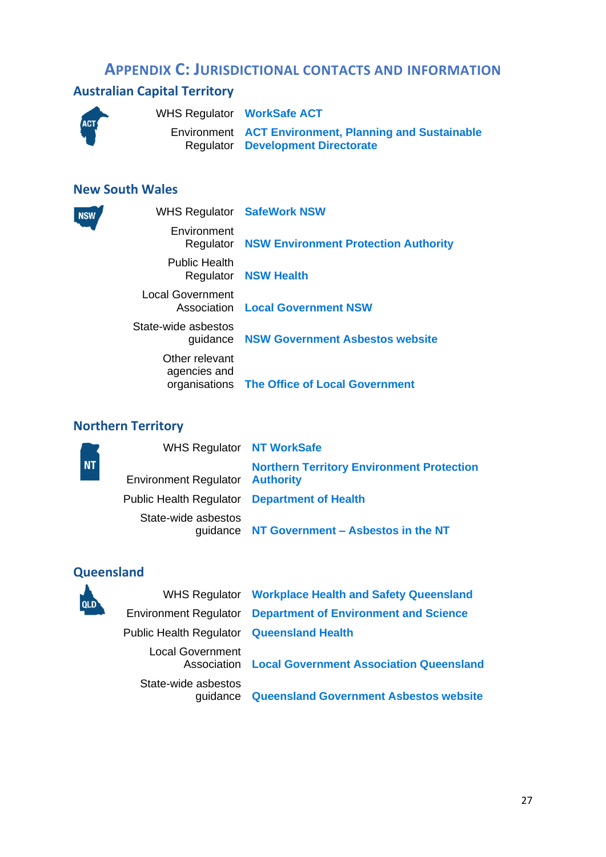#### **APPENDIX C: JURISDICTIONAL CONTACTS AND INFORMATION**

#### <span id="page-26-0"></span>**Australian Capital Territory**



**NSW** 

WHS Regulator **[WorkSafe ACT](https://www.worksafe.act.gov.au/)**

Environment **[ACT Environment, Planning and Sustainable](https://www.environment.act.gov.au/home)**  Regulator **[Development Directorate](https://www.environment.act.gov.au/home)**

#### **New South Wales**

|                                | <b>WHS Regulator SafeWork NSW</b>                     |
|--------------------------------|-------------------------------------------------------|
| Environment                    | <b>Regulator NSW Environment Protection Authority</b> |
| <b>Public Health</b>           | <b>Regulator NSW Health</b>                           |
| <b>Local Government</b>        | <b>Association Local Government NSW</b>               |
| State-wide asbestos            | guidance NSW Government Asbestos website              |
| Other relevant<br>agencies and | organisations The Office of Local Government          |

#### **Northern Territory**

|           | WHS Regulator NT WorkSafe                           |                                                  |
|-----------|-----------------------------------------------------|--------------------------------------------------|
| <b>NT</b> | <b>Environment Regulator Authority</b>              | <b>Northern Territory Environment Protection</b> |
|           | <b>Public Health Regulator Department of Health</b> |                                                  |
|           | State-wide asbestos                                 | guidance NT Government - Asbestos in the NT      |

#### **Queensland**



WHS Regulator **[Workplace Health and Safety Queensland](https://www.worksafe.qld.gov.au/)** Environment Regulator **[Department of Environment and Science](https://environment.des.qld.gov.au/)** Public Health Regulator **[Queensland Health](https://www.health.qld.gov.au/)** Local Government Association **[Local Government Association Queensland](https://www.lgaq.asn.au/)** State-wide asbestos guidance **[Queensland Government Asbestos website](https://www.asbestos.qld.gov.au/)**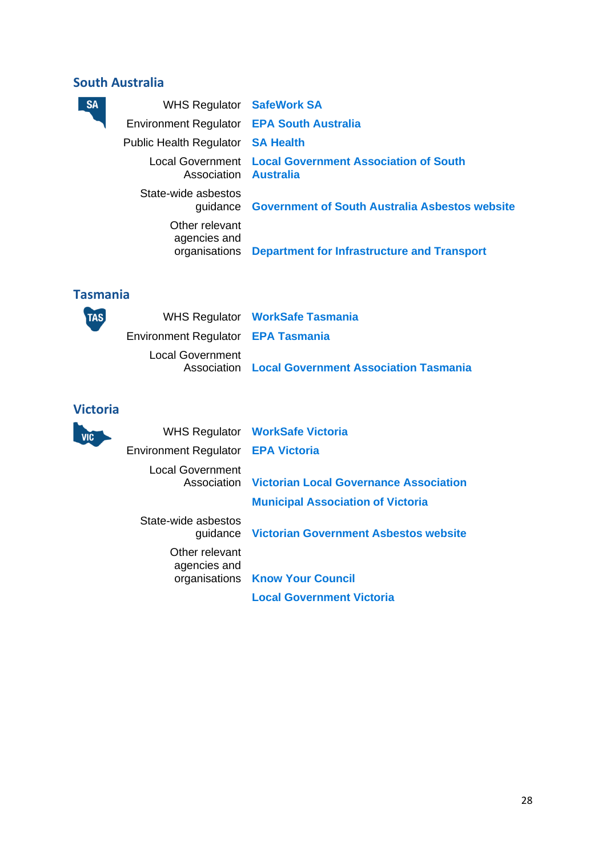#### **South Australia**

| <b>SA</b> | WHS Regulator SafeWork SA                 |                                                           |
|-----------|-------------------------------------------|-----------------------------------------------------------|
|           | Environment Regulator EPA South Australia |                                                           |
|           | Public Health Regulator <b>SA Health</b>  |                                                           |
|           | Association <b>Australia</b>              | Local Government Local Government Association of South    |
|           | State-wide asbestos                       | guidance Government of South Australia Asbestos website   |
|           | Other relevant<br>agencies and            | organisations Department for Infrastructure and Transport |
|           |                                           |                                                           |

#### **Tasmania**

| TAS | Environment Regulator EPA Tasmania | WHS Regulator WorkSafe Tasmania                          |
|-----|------------------------------------|----------------------------------------------------------|
|     | <b>Local Government</b>            | <b>Association Local Government Association Tasmania</b> |

### **Victoria**

| <b>VIC</b> |                                    | WHS Regulator WorkSafe Victoria                           |
|------------|------------------------------------|-----------------------------------------------------------|
|            | Environment Regulator EPA Victoria |                                                           |
|            | Local Government                   | <b>Association</b> Victorian Local Governance Association |
|            |                                    | <b>Municipal Association of Victoria</b>                  |
|            | State-wide asbestos                | guidance Victorian Government Asbestos website            |
|            | Other relevant<br>agencies and     | organisations Know Your Council                           |
|            |                                    | <b>Local Government Victoria</b>                          |
|            |                                    |                                                           |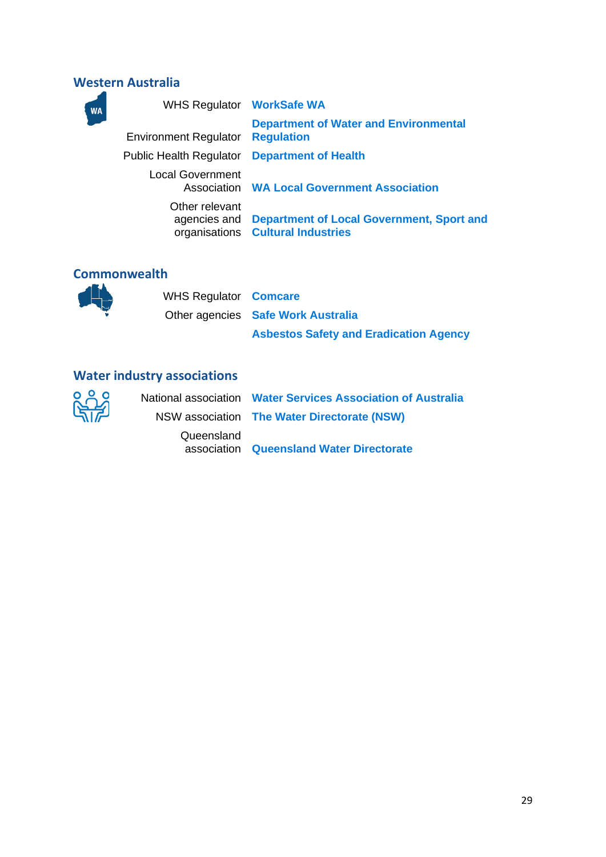#### **Western Australia**

| <b>WA</b> | WHS Regulator WorkSafe WA      |                                                                                             |
|-----------|--------------------------------|---------------------------------------------------------------------------------------------|
|           | <b>Environment Regulator</b>   | <b>Department of Water and Environmental</b><br><b>Regulation</b>                           |
|           | <b>Public Health Regulator</b> | <b>Department of Health</b>                                                                 |
|           | <b>Local Government</b>        | <b>Association WA Local Government Association</b>                                          |
|           | Other relevant                 | agencies and Department of Local Government, Sport and<br>organisations Cultural Industries |

#### **Commonwealth**

WHS Regulator **[Comcare](https://www.comcare.gov.au/)** Other agencies **[Safe Work Australia](https://www.safeworkaustralia.gov.au/) [Asbestos Safety and Eradication Agency](https://www.asbestossafety.gov.au/)**



**Water industry associations** Queensland

National association **[Water Services Association of Australia](https://www.wsaa.asn.au/)** NSW association **[The Water Directorate \(NSW\)](https://www.waterdirectorate.asn.au/)** association **[Queensland Water Directorate](https://www.qldwater.com.au/)**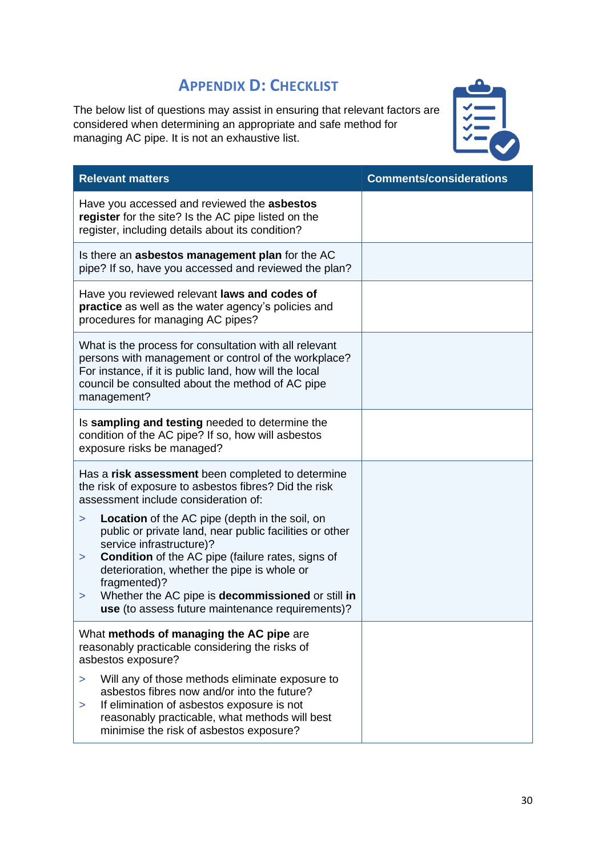### **APPENDIX D: CHECKLIST**

<span id="page-29-0"></span>The below list of questions may assist in ensuring that relevant factors are considered when determining an appropriate and safe method for managing AC pipe. It is not an exhaustive list.



| <b>Relevant matters</b>                                                                                                                                                                                                                                                                                                                                                                                    | <b>Comments/considerations</b> |
|------------------------------------------------------------------------------------------------------------------------------------------------------------------------------------------------------------------------------------------------------------------------------------------------------------------------------------------------------------------------------------------------------------|--------------------------------|
| Have you accessed and reviewed the asbestos<br>register for the site? Is the AC pipe listed on the<br>register, including details about its condition?                                                                                                                                                                                                                                                     |                                |
| Is there an <b>asbestos management plan</b> for the AC<br>pipe? If so, have you accessed and reviewed the plan?                                                                                                                                                                                                                                                                                            |                                |
| Have you reviewed relevant laws and codes of<br>practice as well as the water agency's policies and<br>procedures for managing AC pipes?                                                                                                                                                                                                                                                                   |                                |
| What is the process for consultation with all relevant<br>persons with management or control of the workplace?<br>For instance, if it is public land, how will the local<br>council be consulted about the method of AC pipe<br>management?                                                                                                                                                                |                                |
| Is sampling and testing needed to determine the<br>condition of the AC pipe? If so, how will asbestos<br>exposure risks be managed?                                                                                                                                                                                                                                                                        |                                |
| Has a risk assessment been completed to determine<br>the risk of exposure to asbestos fibres? Did the risk<br>assessment include consideration of:                                                                                                                                                                                                                                                         |                                |
| Location of the AC pipe (depth in the soil, on<br>$\geq$<br>public or private land, near public facilities or other<br>service infrastructure)?<br><b>Condition</b> of the AC pipe (failure rates, signs of<br>$\geq$<br>deterioration, whether the pipe is whole or<br>fragmented)?<br>Whether the AC pipe is decommissioned or still in<br>$\, > \,$<br>use (to assess future maintenance requirements)? |                                |
| What methods of managing the AC pipe are<br>reasonably practicable considering the risks of<br>asbestos exposure?                                                                                                                                                                                                                                                                                          |                                |
| Will any of those methods eliminate exposure to<br>$\geq$<br>asbestos fibres now and/or into the future?<br>If elimination of asbestos exposure is not<br>$\geq$<br>reasonably practicable, what methods will best<br>minimise the risk of asbestos exposure?                                                                                                                                              |                                |